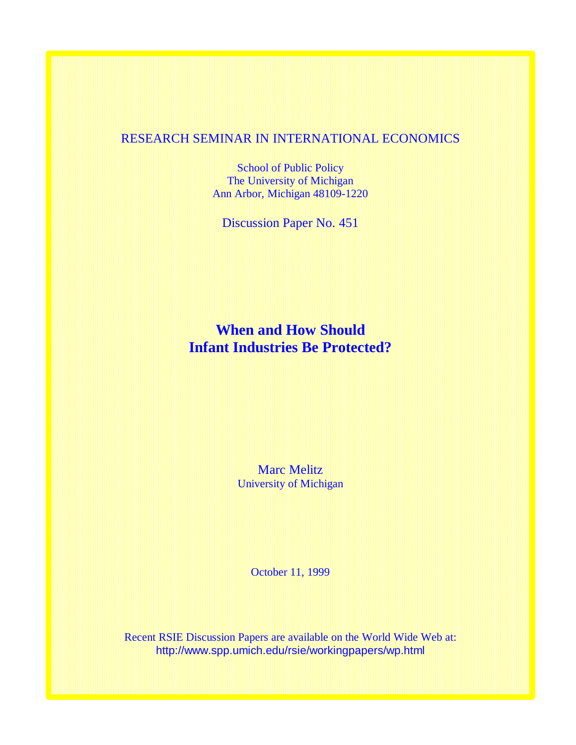## RESEARCH SEMINAR IN INTERNATIONAL ECONOMICS

School of Public Policy The University of Michigan Ann Arbor, Michigan 48109-1220

Discussion Paper No. 451

# **When and How Should Infant Industries Be Protected?**

Marc Melitz University of Michigan

October 11, 1999

Recent RSIE Discussion Papers are available on the World Wide Web at: http://www.spp.umich.edu/rsie/workingpapers/wp.html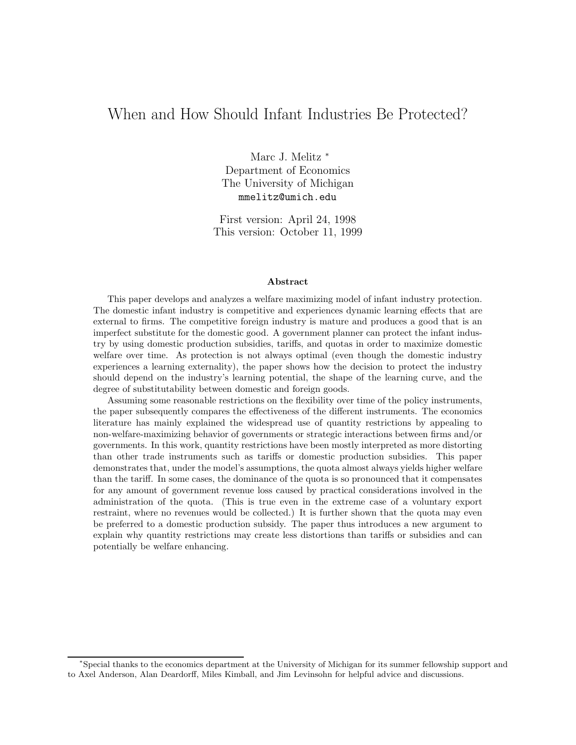## When and How Should Infant Industries Be Protected?

Marc J. Melitz <sup>\*</sup><br>Department of Economics The University of Michigan mmelitz@umich.edu

First version: Lipper 24, 2000<br>This version: October 11, 199 This version: October 11, 1999

#### **Abstract**

This paper develops and analyzes a welfare maximizing model of infant industry protection. The domestic infant industry is competitive and experiences dynamic learning effects that are external to firms. The competitive foreign industry is mature and produces a good that is an imperfect substitute for the domestic good. A government planner can protect the infant industry by using domestic production subsidies, tariffs, and quotas in order to maximize domestic welfare over time. As protection is not always optimal (even though the domestic industry experiences a learning externality), the paper shows how the decision to protect the industry should depend on the industry's learning potential, the shape of the learning curve, and the degree of substitutability between domestic and foreign goods.

Assuming some reasonable restrictions on the flexibility over time of the policy instruments, the paper subsequently compares the effectiveness of the different instruments. The economics literature has mainly explained the widespread use of quantity restrictions by appealing to non-welfare-maximizing behavior of governments or strategic interactions between firms and/or governments. In this work, quantity restrictions have been mostly interpreted as more distorting than other trade instruments such as tariffs or domestic production subsidies. This paper demonstrates that, under the model's assumptions, the quota almost always yields higher welfare than the tariff. In some cases, the dominance of the quota is so pronounced that it compensates for any amount of government revenue loss caused by practical considerations involved in the administration of the quota. (This is true even in the extreme case of a voluntary export restraint, where no revenues would be collected.) It is further shown that the quota may even be preferred to a domestic production subsidy. The paper thus introduces a new argument to explain why quantity restrictions may create less distortions than tariffs or subsidies and can potentially be welfare enhancing.

<sup>∗</sup>Special thanks to the economics department at the University of Michigan for its summer fellowship support and to Axel Anderson, Alan Deardorff, Miles Kimball, and Jim Levinsohn for helpful advice and discussions.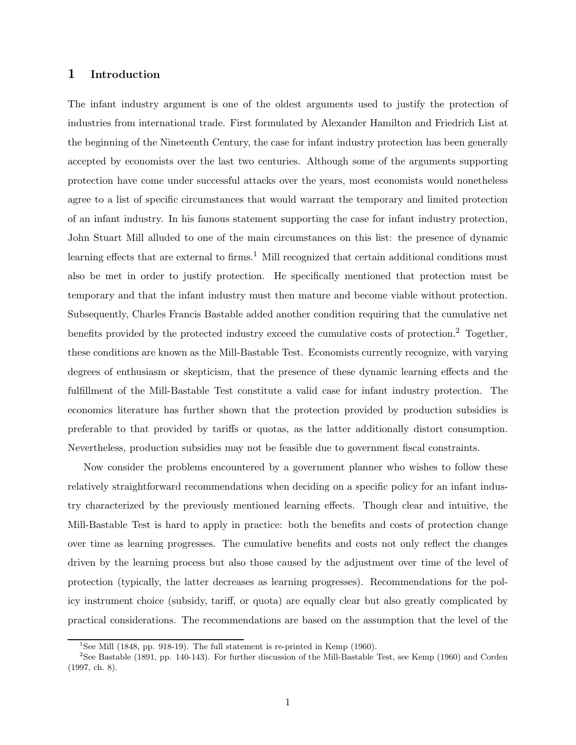## **1 Introduction**

The infant industry argument is one of the oldest arguments used to justify the protection of industries from international trade. First formulated by Alexander Hamilton and Friedrich List at the beginning of the Nineteenth Century, the case for infant industry protection has been generally accepted by economists over the last two centuries. Although some of the arguments supporting protection have come under successful attacks over the years, most economists would nonetheless agree to a list of specific circumstances that would warrant the temporary and limited protection of an infant industry. In his famous statement supporting the case for infant industry protection, John Stuart Mill alluded to one of the main circumstances on this list: the presence of dynamic learning effects that are external to firms.<sup>1</sup> Mill recognized that certain additional conditions must also be met in order to justify protection. He specifically mentioned that protection must be temporary and that the infant industry must then mature and become viable without protection. Subsequently, Charles Francis Bastable added another condition requiring that the cumulative net benefits provided by the protected industry exceed the cumulative costs of protection.<sup>2</sup> Together, these conditions are known as the Mill-Bastable Test. Economists currently recognize, with varying degrees of enthusiasm or skepticism, that the presence of these dynamic learning effects and the fulfillment of the Mill-Bastable Test constitute a valid case for infant industry protection. The economics literature has further shown that the protection provided by production subsidies is preferable to that provided by tariffs or quotas, as the latter additionally distort consumption. Nevertheless, production subsidies may not be feasible due to government fiscal constraints.

Now consider the problems encountered by a government planner who wishes to follow these relatively straightforward recommendations when deciding on a specific policy for an infant industry characterized by the previously mentioned learning effects. Though clear and intuitive, the Mill-Bastable Test is hard to apply in practice: both the benefits and costs of protection change over time as learning progresses. The cumulative benefits and costs not only reflect the changes driven by the learning process but also those caused by the adjustment over time of the level of protection (typically, the latter decreases as learning progresses). Recommendations for the policy instrument choice (subsidy, tariff, or quota) are equally clear but also greatly complicated by practical considerations. The recommendations are based on the assumption that the level of the

<sup>&</sup>lt;sup>1</sup>See Mill (1848, pp. 918-19). The full statement is re-printed in Kemp (1960).

<sup>2</sup>See Bastable (1891, pp. 140-143). For further discussion of the Mill-Bastable Test, see Kemp (1960) and Corden (1997, ch. 8).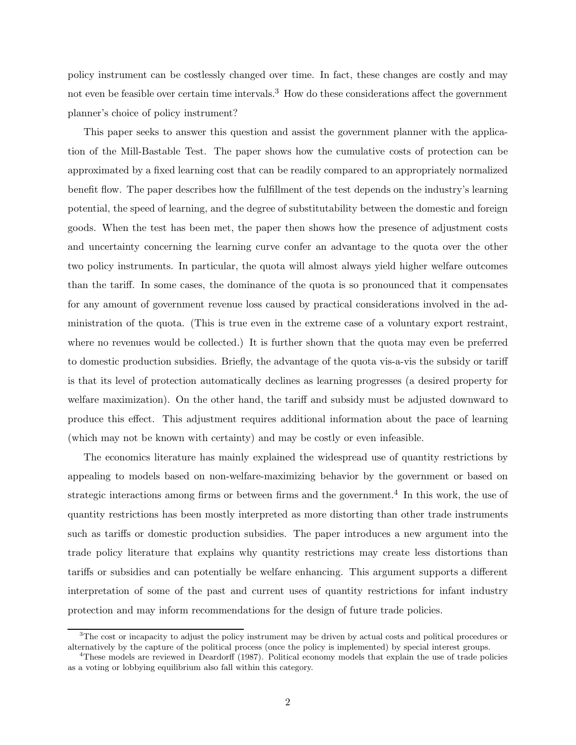policy instrument can be costlessly changed over time. In fact, these changes are costly and may not even be feasible over certain time intervals.<sup>3</sup> How do these considerations affect the government planner's choice of policy instrument?

This paper seeks to answer this question and assist the government planner with the application of the Mill-Bastable Test. The paper shows how the cumulative costs of protection can be approximated by a fixed learning cost that can be readily compared to an appropriately normalized benefit flow. The paper describes how the fulfillment of the test depends on the industry's learning potential, the speed of learning, and the degree of substitutability between the domestic and foreign goods. When the test has been met, the paper then shows how the presence of adjustment costs and uncertainty concerning the learning curve confer an advantage to the quota over the other two policy instruments. In particular, the quota will almost always yield higher welfare outcomes than the tariff. In some cases, the dominance of the quota is so pronounced that it compensates for any amount of government revenue loss caused by practical considerations involved in the administration of the quota. (This is true even in the extreme case of a voluntary export restraint, where no revenues would be collected.) It is further shown that the quota may even be preferred to domestic production subsidies. Briefly, the advantage of the quota vis-a-vis the subsidy or tariff is that its level of protection automatically declines as learning progresses (a desired property for welfare maximization). On the other hand, the tariff and subsidy must be adjusted downward to produce this effect. This adjustment requires additional information about the pace of learning (which may not be known with certainty) and may be costly or even infeasible.

The economics literature has mainly explained the widespread use of quantity restrictions by appealing to models based on non-welfare-maximizing behavior by the government or based on strategic interactions among firms or between firms and the government.<sup>4</sup> In this work, the use of quantity restrictions has been mostly interpreted as more distorting than other trade instruments such as tariffs or domestic production subsidies. The paper introduces a new argument into the trade policy literature that explains why quantity restrictions may create less distortions than tariffs or subsidies and can potentially be welfare enhancing. This argument supports a different interpretation of some of the past and current uses of quantity restrictions for infant industry protection and may inform recommendations for the design of future trade policies.

 ${}^{3}$ The cost or incapacity to adjust the policy instrument may be driven by actual costs and political procedures or alternatively by the capture of the political process (once the policy is implemented) by special interest groups.

<sup>4</sup>These models are reviewed in Deardorff (1987). Political economy models that explain the use of trade policies as a voting or lobbying equilibrium also fall within this category.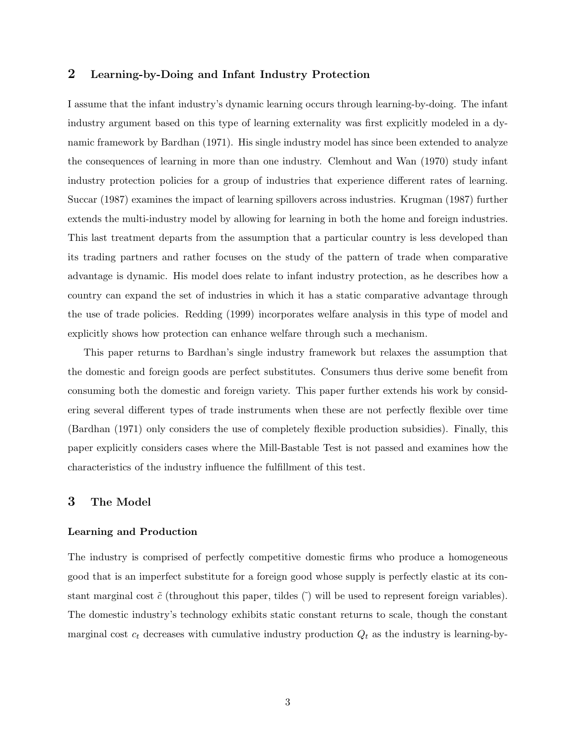## **2 Learning-by-Doing and Infant Industry Protection**

I assume that the infant industry's dynamic learning occurs through learning-by-doing. The infant industry argument based on this type of learning externality was first explicitly modeled in a dynamic framework by Bardhan (1971). His single industry model has since been extended to analyze the consequences of learning in more than one industry. Clemhout and Wan (1970) study infant industry protection policies for a group of industries that experience different rates of learning. Succar (1987) examines the impact of learning spillovers across industries. Krugman (1987) further extends the multi-industry model by allowing for learning in both the home and foreign industries. This last treatment departs from the assumption that a particular country is less developed than its trading partners and rather focuses on the study of the pattern of trade when comparative advantage is dynamic. His model does relate to infant industry protection, as he describes how a country can expand the set of industries in which it has a static comparative advantage through the use of trade policies. Redding (1999) incorporates welfare analysis in this type of model and explicitly shows how protection can enhance welfare through such a mechanism.

This paper returns to Bardhan's single industry framework but relaxes the assumption that the domestic and foreign goods are perfect substitutes. Consumers thus derive some benefit from consuming both the domestic and foreign variety. This paper further extends his work by considering several different types of trade instruments when these are not perfectly flexible over time (Bardhan (1971) only considers the use of completely flexible production subsidies). Finally, this paper explicitly considers cases where the Mill-Bastable Test is not passed and examines how the characteristics of the industry influence the fulfillment of this test.

## **3 The Model**

#### **Learning and Production**

The industry is comprised of perfectly competitive domestic firms who produce a homogeneous good that is an imperfect substitute for a foreign good whose supply is perfectly elastic at its constant marginal cost  $\tilde{c}$  (throughout this paper, tildes  $(\tilde{c})$  will be used to represent foreign variables). The domestic industry's technology exhibits static constant returns to scale, though the constant marginal cost  $c_t$  decreases with cumulative industry production  $Q_t$  as the industry is learning-by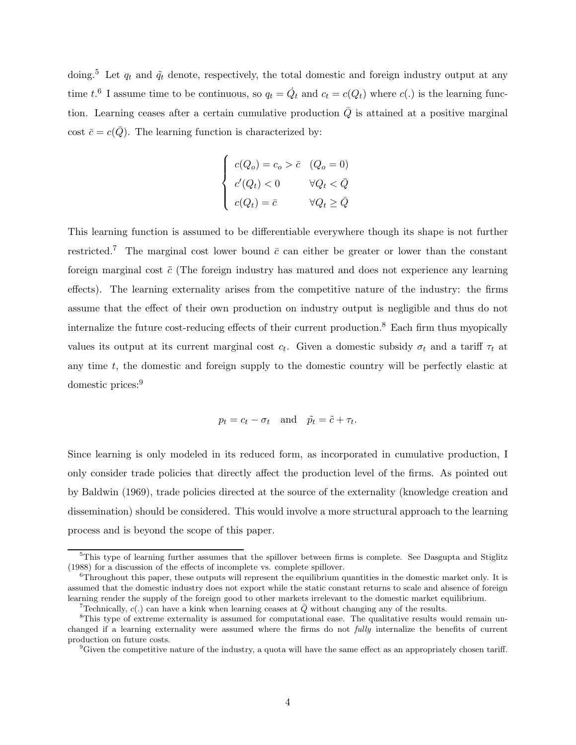doing.<sup>5</sup> Let  $q_t$  and  $\tilde{q}_t$  denote, respectively, the total domestic and foreign industry output at any time  $t$ <sup>6</sup> I assume time to be continuous, so  $q_t = \dot{Q}_t$  and  $c_t = c(Q_t)$  where  $c(.)$  is the learning function. Learning ceases after a certain cumulative production  $\overline{Q}$  is attained at a positive marginal cost  $\bar{c} = c(\bar{Q})$ . The learning function is characterized by:

$$
\left\{\begin{array}{ll} c(Q_o)=c_o>\bar{c} & (Q_o=0)\\ c'(Q_t)<0 & \forall Q_t<\bar{Q}\\ c(Q_t)=\bar{c} & \forall Q_t\geq \bar{Q} \end{array}\right.
$$

This learning function is assumed to be differentiable everywhere though its shape is not further restricted.<sup>7</sup> The marginal cost lower bound  $\bar{c}$  can either be greater or lower than the constant foreign marginal cost  $\tilde{c}$  (The foreign industry has matured and does not experience any learning effects). The learning externality arises from the competitive nature of the industry: the firms assume that the effect of their own production on industry output is negligible and thus do not internalize the future cost-reducing effects of their current production.<sup>8</sup> Each firm thus myopically values its output at its current marginal cost  $c_t$ . Given a domestic subsidy  $\sigma_t$  and a tariff  $\tau_t$  at any time  $t$ , the domestic and foreign supply to the domestic country will be perfectly elastic at domestic prices:<sup>9</sup>

$$
p_t = c_t - \sigma_t
$$
 and  $\tilde{p}_t = \tilde{c} + \tau_t$ .

Since learning is only modeled in its reduced form, as incorporated in cumulative production, I only consider trade policies that directly affect the production level of the firms. As pointed out by Baldwin (1969), trade policies directed at the source of the externality (knowledge creation and dissemination) should be considered. This would involve a more structural approach to the learning process and is beyond the scope of this paper.

 ${}^{5}$ This type of learning further assumes that the spillover between firms is complete. See Dasgupta and Stiglitz (1988) for a discussion of the effects of incomplete vs. complete spillover.

 ${}^{6}$ Throughout this paper, these outputs will represent the equilibrium quantities in the domestic market only. It is assumed that the domestic industry does not export while the static constant returns to scale and absence of foreign learning render the supply of the foreign good to other markets irrelevant to the domestic market equilibrium.

<sup>&</sup>lt;sup>7</sup>Technically,  $c(.)$  can have a kink when learning ceases at  $\overline{Q}$  without changing any of the results.

<sup>&</sup>lt;sup>8</sup>This type of extreme externality is assumed for computational ease. The qualitative results would remain unchanged if a learning externality were assumed where the firms do not *fully* internalize the benefits of current production on future costs.

<sup>9</sup>Given the competitive nature of the industry, a quota will have the same effect as an appropriately chosen tariff.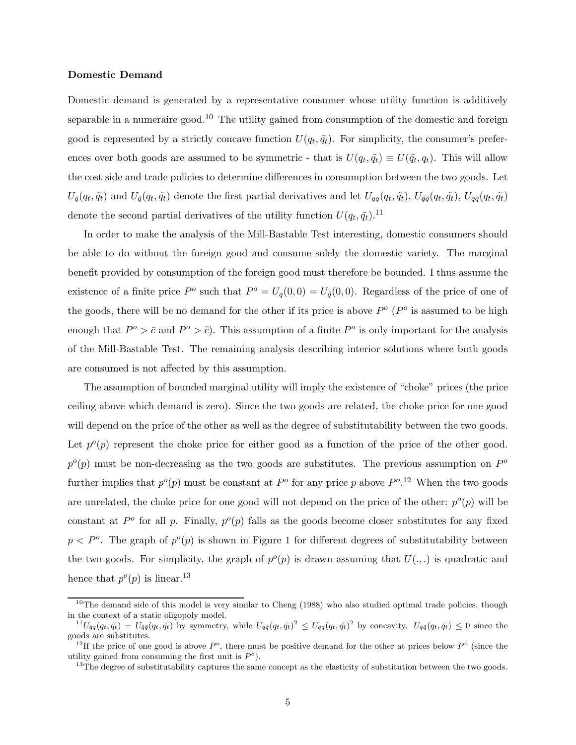#### **Domestic Demand**

Domestic demand is generated by a representative consumer whose utility function is additively separable in a numeraire good.<sup>10</sup> The utility gained from consumption of the domestic and foreign good is represented by a strictly concave function  $U(q_t, \tilde{q}_t)$ . For simplicity, the consumer's preferences over both goods are assumed to be symmetric - that is  $U(q_t, \tilde{q}_t) \equiv U(\tilde{q}_t, q_t)$ . This will allow the cost side and trade policies to determine differences in consumption between the two goods. Let  $U_q(q_t, \tilde{q}_t)$  and  $U_{\tilde{q}}(q_t, \tilde{q}_t)$  denote the first partial derivatives and let  $U_{qq}(q_t, \tilde{q}_t)$ ,  $U_{\tilde{q}}(\tilde{q}_t, \tilde{q}_t)$ ,  $U_{q\tilde{q}}(q_t, \tilde{q}_t)$ denote the second partial derivatives of the utility function  $U(q_t, \tilde{q}_t)$ .<sup>11</sup>

In order to make the analysis of the Mill-Bastable Test interesting, domestic consumers should be able to do without the foreign good and consume solely the domestic variety. The marginal benefit provided by consumption of the foreign good must therefore be bounded. I thus assume the existence of a finite price  $P^{\circ}$  such that  $P^{\circ} = U_q(0,0) = U_{\tilde{q}}(0,0)$ . Regardless of the price of one of the goods, there will be no demand for the other if its price is above  $P^{\circ}$  ( $P^{\circ}$  is assumed to be high enough that  $P^{\circ} > \bar{c}$  and  $P^{\circ} > \tilde{c}$ ). This assumption of a finite  $P^{\circ}$  is only important for the analysis of the Mill-Bastable Test. The remaining analysis describing interior solutions where both goods are consumed is not affected by this assumption.

The assumption of bounded marginal utility will imply the existence of "choke" prices (the price ceiling above which demand is zero). Since the two goods are related, the choke price for one good will depend on the price of the other as well as the degree of substitutability between the two goods. Let  $p^o(p)$  represent the choke price for either good as a function of the price of the other good.  $p^o(p)$  must be non-decreasing as the two goods are substitutes. The previous assumption on  $P^o$ further implies that  $p^o(p)$  must be constant at  $P^o$  for any price p above  $P^{o}$ .<sup>12</sup> When the two goods are unrelated, the choke price for one good will not depend on the price of the other:  $p^o(p)$  will be constant at  $P^{\circ}$  for all p. Finally,  $p^{\circ}(p)$  falls as the goods become closer substitutes for any fixed  $p < P^o$ . The graph of  $p^o(p)$  is shown in Figure 1 for different degrees of substitutability between the two goods. For simplicity, the graph of  $p^o(p)$  is drawn assuming that  $U(.,.)$  is quadratic and hence that  $p^o(p)$  is linear.<sup>13</sup>

<sup>&</sup>lt;sup>10</sup>The demand side of this model is very similar to Cheng  $(1988)$  who also studied optimal trade policies, though in the context of a static oligopoly model.

 ${}^{11}U_{qq}(q_t, \tilde{q}_t) = U_{\tilde{q}\tilde{q}}(q_t, \tilde{q}_t)$  by symmetry, while  $U_{q\tilde{q}}(q_t, \tilde{q}_t)^2 \leq U_{qq}(q_t, \tilde{q}_t)^2$  by concavity.  $U_{q\tilde{q}}(q_t, \tilde{q}_t) \leq 0$  since the goods are substitutes.

<sup>&</sup>lt;sup>12</sup>If the price of one good is above  $P^o$ , there must be positive demand for the other at prices below  $P^o$  (since the utility gained from consuming the first unit is  $P^o$ ).

 $13$ The degree of substitutability captures the same concept as the elasticity of substitution between the two goods.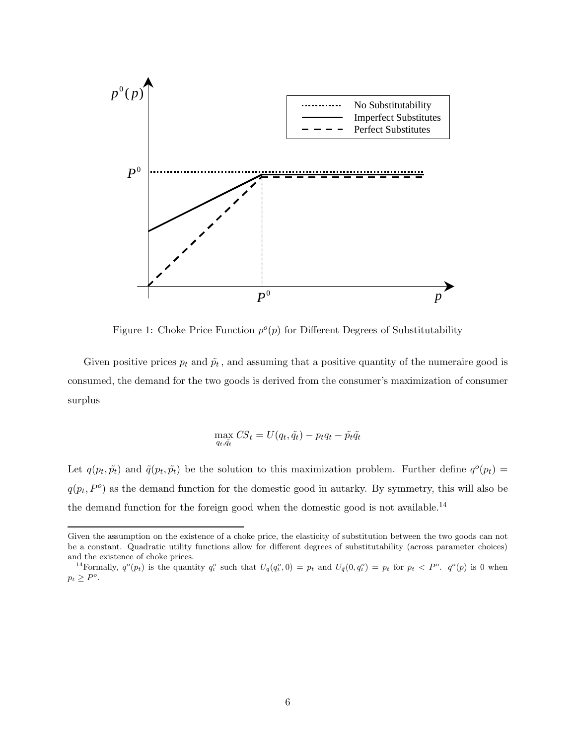

Figure 1: Choke Price Function  $p^o(p)$  for Different Degrees of Substitutability

Given positive prices  $p_t$  and  $\tilde{p}_t$ , and assuming that a positive quantity of the numeraire good is consumed, the demand for the two goods is derived from the consumer's maximization of consumer surplus

$$
\max_{q_t, \tilde{q}_t} CS_t = U(q_t, \tilde{q}_t) - p_t q_t - \tilde{p}_t \tilde{q}_t
$$

Let  $q(p_t, \tilde{p}_t)$  and  $\tilde{q}(p_t, \tilde{p}_t)$  be the solution to this maximization problem. Further define  $q^o(p_t)$  =  $q(p_t, P<sup>o</sup>)$  as the demand function for the domestic good in autarky. By symmetry, this will also be the demand function for the foreign good when the domestic good is not available.<sup>14</sup>

Given the assumption on the existence of a choke price, the elasticity of substitution between the two goods can not be a constant. Quadratic utility functions allow for different degrees of substitutability (across parameter choices) and the existence of choke prices.

<sup>&</sup>lt;sup>14</sup>Formally,  $q^o(p_t)$  is the quantity  $q_t^o$  such that  $U_q(q_t^o, 0) = p_t$  and  $U_q(0, q_t^o) = p_t$  for  $p_t < P^o$ .  $q^o(p)$  is 0 when  $p_t \geq P^o$ .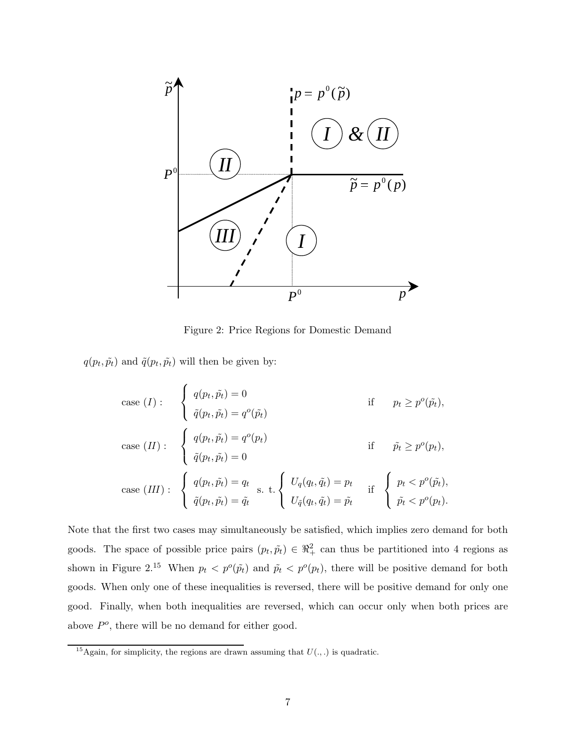

Figure 2: Price Regions for Domestic Demand

 $q(p_t, \tilde{p_t})$  and  $\tilde{q}(p_t, \tilde{p_t})$  will then be given by:

case (I): 
$$
\begin{cases} q(p_t, \tilde{p}_t) = 0 & \text{if } p_t \ge p^o(\tilde{p}_t), \\ \tilde{q}(p_t, \tilde{p}_t) = q^o(\tilde{p}_t) & \text{if } p_t \ge p^o(\tilde{p}_t), \\ \tilde{q}(p_t, \tilde{p}_t) = q^o(p_t) & \text{if } \tilde{p}_t \ge p^o(p_t), \\ \tilde{q}(p_t, \tilde{p}_t) = 0 & \text{if } \tilde{p}_t \ge p^o(\tilde{p}_t), \\ \tilde{q}(p_t, \tilde{p}_t) = q_t & \text{s. t.} \end{cases}
$$

$$
U_q(q_t, \tilde{q}_t) = p_t \quad \text{if } \begin{cases} p_t < p^o(\tilde{p}_t), \\ p_t < p^o(\tilde{p}_t), \\ \tilde{p}_t < p^o(p_t). \end{cases}
$$

Note that the first two cases may simultaneously be satisfied, which implies zero demand for both goods. The space of possible price pairs  $(p_t, \tilde{p}_t) \in \mathbb{R}^2_+$  can thus be partitioned into 4 regions as shown in Figure 2.<sup>15</sup> When  $p_t < p^o(\tilde{p}_t)$  and  $\tilde{p}_t < p^o(p_t)$ , there will be positive demand for both goods. When only one of these inequalities is reversed, there will be positive demand for only one good. Finally, when both inequalities are reversed, which can occur only when both prices are above  $P^o$ , there will be no demand for either good.

<sup>&</sup>lt;sup>15</sup>Again, for simplicity, the regions are drawn assuming that  $U(.,.)$  is quadratic.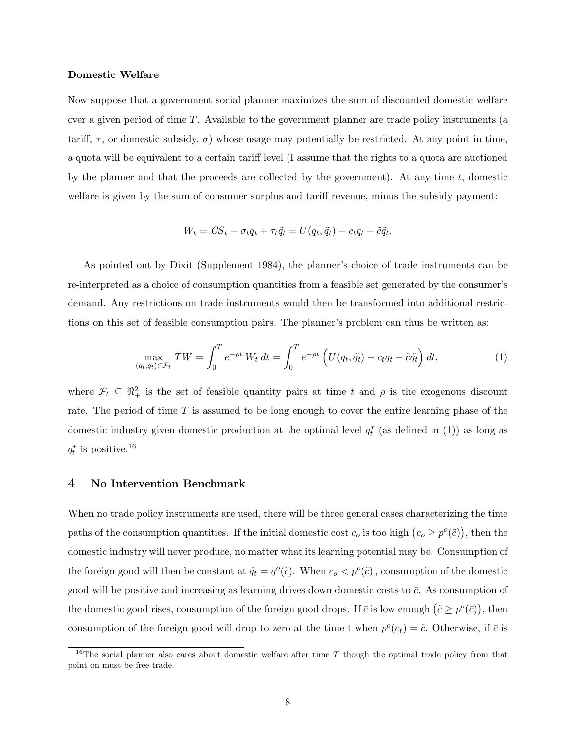#### **Domestic Welfare**

Now suppose that a government social planner maximizes the sum of discounted domestic welfare over a given period of time T. Available to the government planner are trade policy instruments (a tariff,  $\tau$ , or domestic subsidy,  $\sigma$ ) whose usage may potentially be restricted. At any point in time, a quota will be equivalent to a certain tariff level (I assume that the rights to a quota are auctioned by the planner and that the proceeds are collected by the government). At any time  $t$ , domestic welfare is given by the sum of consumer surplus and tariff revenue, minus the subsidy payment:

$$
W_t = CS_t - \sigma_t q_t + \tau_t \tilde{q}_t = U(q_t, \tilde{q}_t) - c_t q_t - \tilde{c} \tilde{q}_t.
$$

As pointed out by Dixit (Supplement 1984), the planner's choice of trade instruments can be re-interpreted as a choice of consumption quantities from a feasible set generated by the consumer's demand. Any restrictions on trade instruments would then be transformed into additional restrictions on this set of feasible consumption pairs. The planner's problem can thus be written as:

$$
\max_{(q_t, \tilde{q}_t) \in \mathcal{F}_t} TW = \int_0^T e^{-\rho t} W_t dt = \int_0^T e^{-\rho t} \left( U(q_t, \tilde{q}_t) - c_t q_t - \tilde{c} \tilde{q}_t \right) dt,\tag{1}
$$

where  $\mathcal{F}_t \subseteq \Re^2_+$  is the set of feasible quantity pairs at time t and  $\rho$  is the exogenous discount rate. The period of time  $T$  is assumed to be long enough to cover the entire learning phase of the domestic industry given domestic production at the optimal level  $q_t^*$  (as defined in (1)) as long as  $q_t^*$  is positive.<sup>16</sup>

#### **4 No Intervention Benchmark**

When no trade policy instruments are used, there will be three general cases characterizing the time paths of the consumption quantities. If the initial domestic cost  $c_o$  is too high  $(c_o \ge p^o(\tilde{c}))$ , then the domestic industry will never produce, no matter what its learning potential may be. Consumption of the foreign good will then be constant at  $\tilde{q}_t = q^o(\tilde{c})$ . When  $c_o < p^o(\tilde{c})$ , consumption of the domestic good will be positive and increasing as learning drives down domestic costs to  $\bar{c}$ . As consumption of the domestic good rises, consumption of the foreign good drops. If  $\bar{c}$  is low enough  $(\tilde{c} \geq p^o(\bar{c}))$ , then consumption of the foreign good will drop to zero at the time t when  $p^{o}(c_t)=\tilde{c}$ . Otherwise, if  $\bar{c}$  is

<sup>&</sup>lt;sup>16</sup>The social planner also cares about domestic welfare after time  $T$  though the optimal trade policy from that point on must be free trade.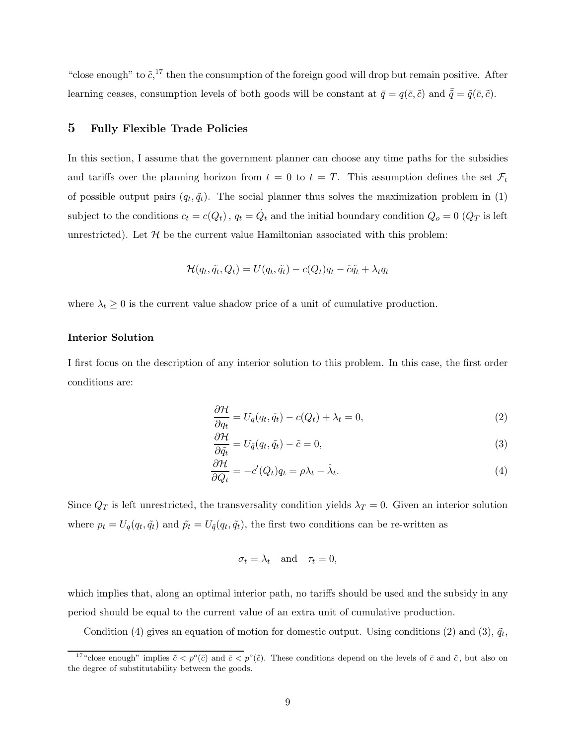"close enough" to  $\tilde{c}$ ,<sup>17</sup> then the consumption of the foreign good will drop but remain positive. After learning ceases, consumption levels of both goods will be constant at  $\bar{q} = q(\bar{c}, \tilde{c})$  and  $\bar{\tilde{q}} = \tilde{q}(\bar{c}, \tilde{c})$ .

## **5 Fully Flexible Trade Policies**

In this section, I assume that the government planner can choose any time paths for the subsidies and tariffs over the planning horizon from  $t = 0$  to  $t = T$ . This assumption defines the set  $\mathcal{F}_t$ of possible output pairs  $(q_t, \tilde{q}_t)$ . The social planner thus solves the maximization problem in (1) subject to the conditions  $c_t = c(Q_t)$ ,  $q_t = \dot{Q}_t$  and the initial boundary condition  $Q_o = 0$  ( $Q_T$  is left unrestricted). Let  $\mathcal H$  be the current value Hamiltonian associated with this problem:

$$
\mathcal{H}(q_t, \tilde{q}_t, Q_t) = U(q_t, \tilde{q}_t) - c(Q_t)q_t - \tilde{c}\tilde{q}_t + \lambda_t q_t
$$

where  $\lambda_t \geq 0$  is the current value shadow price of a unit of cumulative production.

#### **Interior Solution**

I first focus on the description of any interior solution to this problem. In this case, the first order conditions are:

$$
\frac{\partial \mathcal{H}}{\partial q_t} = U_q(q_t, \tilde{q}_t) - c(Q_t) + \lambda_t = 0,\tag{2}
$$

$$
\frac{\partial \mathcal{H}}{\partial \tilde{q}_t} = U_{\tilde{q}}(q_t, \tilde{q}_t) - \tilde{c} = 0,
$$
\n(3)

$$
\frac{\partial \mathcal{H}}{\partial Q_t} = -c'(Q_t)q_t = \rho \lambda_t - \dot{\lambda}_t.
$$
\n(4)

Since  $Q_T$  is left unrestricted, the transversality condition yields  $\lambda_T = 0$ . Given an interior solution where  $p_t = U_q(q_t, \tilde{q}_t)$  and  $\tilde{p}_t = U_{\tilde{q}}(q_t, \tilde{q}_t)$ , the first two conditions can be re-written as

$$
\sigma_t = \lambda_t \quad \text{and} \quad \tau_t = 0,
$$

which implies that, along an optimal interior path, no tariffs should be used and the subsidy in any period should be equal to the current value of an extra unit of cumulative production.

Condition (4) gives an equation of motion for domestic output. Using conditions (2) and (3),  $\tilde{q}_t$ ,

<sup>&</sup>lt;sup>17</sup>"close enough" implies  $\tilde{c}$  <  $p^o(\bar{c})$  and  $\bar{c}$  <  $p^o(\tilde{c})$ . These conditions depend on the levels of  $\bar{c}$  and  $\tilde{c}$ , but also on the degree of substitutability between the goods.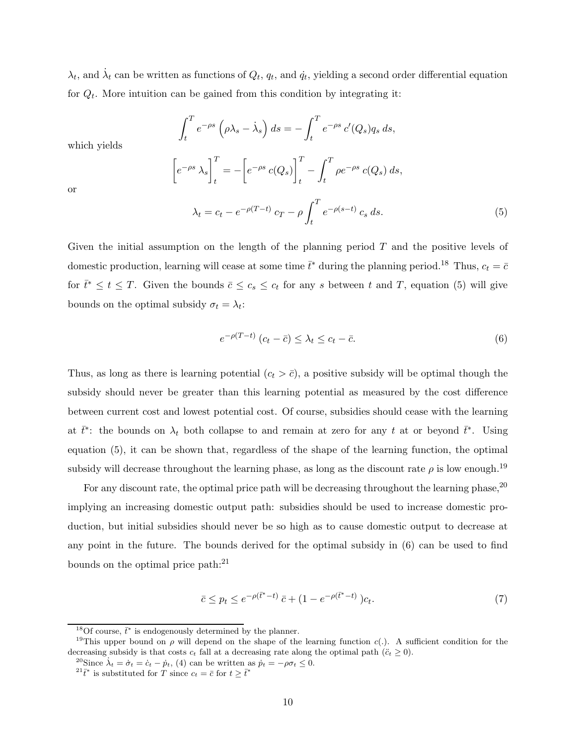$\lambda_t$ , and  $\lambda_t$  can be written as functions of  $Q_t$ ,  $q_t$ , and  $\dot{q}_t$ , yielding a second order differential equation for  $Q_t$ . More intuition can be gained from this condition by integrating it:

$$
\int_t^T e^{-\rho s} \left( \rho \lambda_s - \dot{\lambda}_s \right) ds = - \int_t^T e^{-\rho s} c'(Q_s) q_s ds,
$$

which yields

$$
\left[e^{-\rho s} \lambda_s\right]_t^T = -\left[e^{-\rho s} c(Q_s)\right]_t^T - \int_t^T \rho e^{-\rho s} c(Q_s) ds,
$$

or

$$
\lambda_t = c_t - e^{-\rho(T-t)} c_T - \rho \int_t^T e^{-\rho(s-t)} c_s ds.
$$
\n(5)

Given the initial assumption on the length of the planning period  $T$  and the positive levels of domestic production, learning will cease at some time  $\bar{t}^*$  during the planning period.<sup>18</sup> Thus,  $c_t = \bar{c}$ for  $\bar{t}^* \leq t \leq T$ . Given the bounds  $\bar{c} \leq c_s \leq c_t$  for any s between t and T, equation (5) will give bounds on the optimal subsidy  $\sigma_t = \lambda_t$ :

$$
e^{-\rho(T-t)}\left(c_t-\bar{c}\right) \leq \lambda_t \leq c_t-\bar{c}.\tag{6}
$$

Thus, as long as there is learning potential  $(c_t > \bar{c})$ , a positive subsidy will be optimal though the subsidy should never be greater than this learning potential as measured by the cost difference between current cost and lowest potential cost. Of course, subsidies should cease with the learning at  $\bar{t}^*$ : the bounds on  $\lambda_t$  both collapse to and remain at zero for any t at or beyond  $\bar{t}^*$ . Using equation (5), it can be shown that, regardless of the shape of the learning function, the optimal subsidy will decrease throughout the learning phase, as long as the discount rate  $\rho$  is low enough.<sup>19</sup>

For any discount rate, the optimal price path will be decreasing throughout the learning phase,<sup>20</sup> implying an increasing domestic output path: subsidies should be used to increase domestic production, but initial subsidies should never be so high as to cause domestic output to decrease at any point in the future. The bounds derived for the optimal subsidy in (6) can be used to find bounds on the optimal price path:<sup>21</sup>

$$
\bar{c} \le p_t \le e^{-\rho(\bar{t}^* - t)} \bar{c} + (1 - e^{-\rho(\bar{t}^* - t)})c_t.
$$
\n(7)

<sup>&</sup>lt;sup>18</sup>Of course,  $\bar{t}^*$  is endogenously determined by the planner.

<sup>&</sup>lt;sup>19</sup>This upper bound on  $\rho$  will depend on the shape of the learning function c(.). A sufficient condition for the decreasing subsidy is that costs  $c_t$  fall at a decreasing rate along the optimal path  $(\ddot{c}_t \ge 0)$ .<br><sup>20</sup>Since  $\dot{\lambda}_t = \dot{\sigma}_t = \dot{c}_t - \dot{p}_t$ , (4) can be written as  $\dot{p}_t = -\rho \sigma_t \le 0$ .

 $\bar{t}^*$  is substituted for T since  $c_t = \bar{c}$  for  $t \geq \bar{t}^*$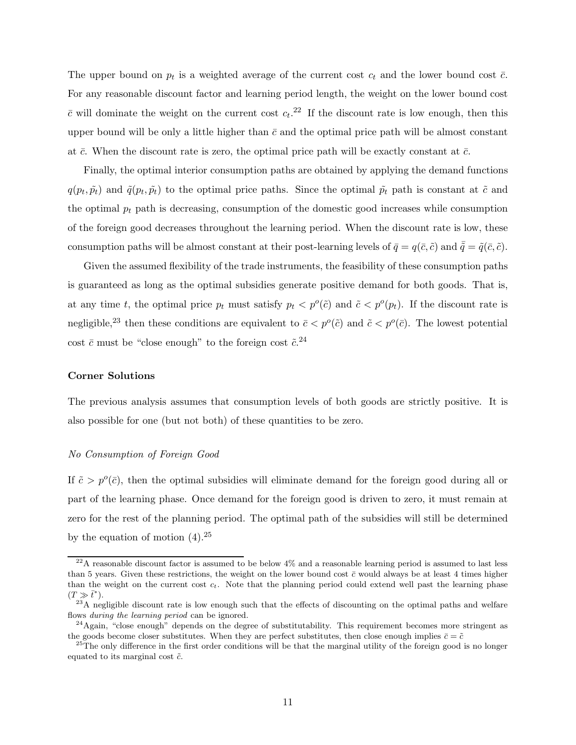The upper bound on  $p_t$  is a weighted average of the current cost  $c_t$  and the lower bound cost  $\bar{c}$ . For any reasonable discount factor and learning period length, the weight on the lower bound cost  $\bar{c}$  will dominate the weight on the current cost  $c_t$ .<sup>22</sup> If the discount rate is low enough, then this upper bound will be only a little higher than  $\bar{c}$  and the optimal price path will be almost constant at  $\bar{c}$ . When the discount rate is zero, the optimal price path will be exactly constant at  $\bar{c}$ .

Finally, the optimal interior consumption paths are obtained by applying the demand functions  $q(p_t, \tilde{p}_t)$  and  $\tilde{q}(p_t, \tilde{p}_t)$  to the optimal price paths. Since the optimal  $\tilde{p}_t$  path is constant at  $\tilde{c}$  and the optimal  $p_t$  path is decreasing, consumption of the domestic good increases while consumption of the foreign good decreases throughout the learning period. When the discount rate is low, these consumption paths will be almost constant at their post-learning levels of  $\bar{q} = q(\bar{c}, \tilde{c})$  and  $\bar{\tilde{q}} = \tilde{q}(\bar{c}, \tilde{c})$ .

Given the assumed flexibility of the trade instruments, the feasibility of these consumption paths is guaranteed as long as the optimal subsidies generate positive demand for both goods. That is, at any time t, the optimal price  $p_t$  must satisfy  $p_t < p^o(\tilde{c})$  and  $\tilde{c} < p^o(p_t)$ . If the discount rate is negligible,<sup>23</sup> then these conditions are equivalent to  $\bar{c}$   $\lt p^o(\tilde{c})$  and  $\tilde{c}$   $\lt p^o(\bar{c})$ . The lowest potential cost  $\bar{c}$  must be "close enough" to the foreign cost  $\tilde{c}$ <sup>24</sup>

#### **Corner Solutions**

The previous analysis assumes that consumption levels of both goods are strictly positive. It is also possible for one (but not both) of these quantities to be zero.

#### *No Consumption of Foreign Good*

If  $\tilde{c} > p^o(\bar{c})$ , then the optimal subsidies will eliminate demand for the foreign good during all or part of the learning phase. Once demand for the foreign good is driven to zero, it must remain at zero for the rest of the planning period. The optimal path of the subsidies will still be determined by the equation of motion  $(4).^{25}$ 

<sup>&</sup>lt;sup>22</sup>A reasonable discount factor is assumed to be below  $4\%$  and a reasonable learning period is assumed to last less than 5 years. Given these restrictions, the weight on the lower bound cost  $\bar{c}$  would always be at least 4 times higher than the weight on the current cost  $c_t$ . Note that the planning period could extend well past the learning phase  $(T \gg \bar{t}^*).$ 

 $23A$  negligible discount rate is low enough such that the effects of discounting on the optimal paths and welfare flows *during the learning period* can be ignored.

 $^{24}$ Again, "close enough" depends on the degree of substitutability. This requirement becomes more stringent as the goods become closer substitutes. When they are perfect substitutes, then close enough implies  $\bar{c} = \tilde{c}$ 

 $^{25}$ The only difference in the first order conditions will be that the marginal utility of the foreign good is no longer equated to its marginal cost  $\tilde{c}$ .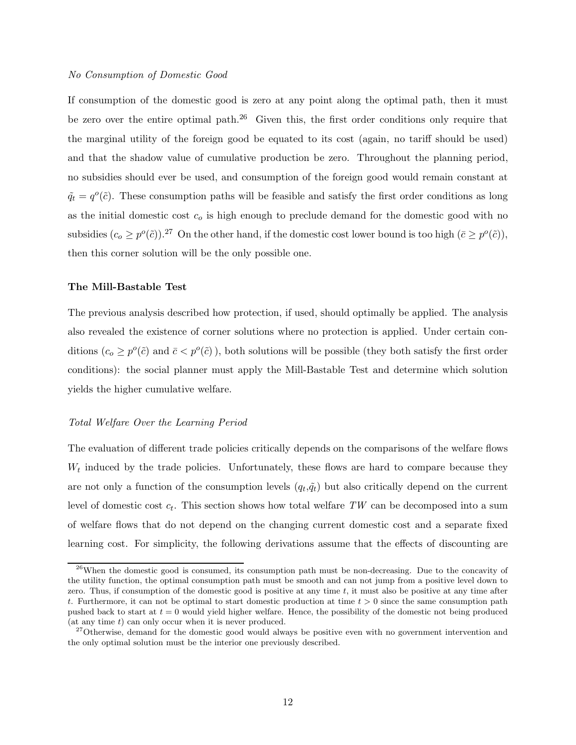#### *No Consumption of Domestic Good*

If consumption of the domestic good is zero at any point along the optimal path, then it must be zero over the entire optimal path.<sup>26</sup> Given this, the first order conditions only require that the marginal utility of the foreign good be equated to its cost (again, no tariff should be used) and that the shadow value of cumulative production be zero. Throughout the planning period, no subsidies should ever be used, and consumption of the foreign good would remain constant at  $\tilde{q}_t = q^o(\tilde{c})$ . These consumption paths will be feasible and satisfy the first order conditions as long as the initial domestic cost  $c<sub>o</sub>$  is high enough to preclude demand for the domestic good with no subsidies  $(c_o \geq p^o(\tilde{c}))$ .<sup>27</sup> On the other hand, if the domestic cost lower bound is too high  $(\bar{c} \geq p^o(\tilde{c}))$ . then this corner solution will be the only possible one.

### **The Mill-Bastable Test**

The previous analysis described how protection, if used, should optimally be applied. The analysis also revealed the existence of corner solutions where no protection is applied. Under certain conditions  $(c_o \geq p^o(\tilde{c})$  and  $\bar{c} < p^o(\tilde{c})$ ), both solutions will be possible (they both satisfy the first order conditions): the social planner must apply the Mill-Bastable Test and determine which solution yields the higher cumulative welfare.

#### *Total Welfare Over the Learning Period*

The evaluation of different trade policies critically depends on the comparisons of the welfare flows  $W_t$  induced by the trade policies. Unfortunately, these flows are hard to compare because they are not only a function of the consumption levels  $(q_t, \tilde{q}_t)$  but also critically depend on the current level of domestic cost  $c_t$ . This section shows how total welfare TW can be decomposed into a sum of welfare flows that do not depend on the changing current domestic cost and a separate fixed learning cost. For simplicity, the following derivations assume that the effects of discounting are

<sup>&</sup>lt;sup>26</sup>When the domestic good is consumed, its consumption path must be non-decreasing. Due to the concavity of the utility function, the optimal consumption path must be smooth and can not jump from a positive level down to zero. Thus, if consumption of the domestic good is positive at any time  $t$ , it must also be positive at any time after t. Furthermore, it can not be optimal to start domestic production at time  $t > 0$  since the same consumption path pushed back to start at  $t = 0$  would yield higher welfare. Hence, the possibility of the domestic not being produced (at any time  $t$ ) can only occur when it is never produced.

<sup>&</sup>lt;sup>27</sup>Otherwise, demand for the domestic good would always be positive even with no government intervention and the only optimal solution must be the interior one previously described.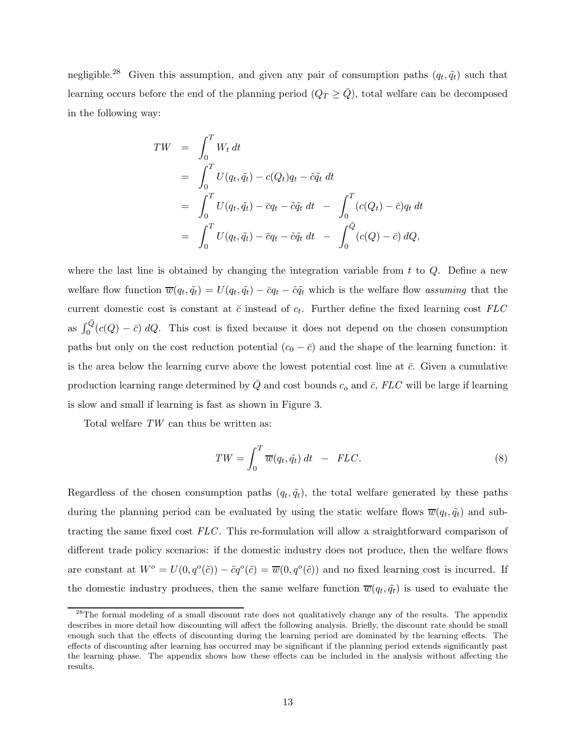negligible.<sup>28</sup> Given this assumption, and given any pair of consumption paths  $(q_t, \tilde{q}_t)$  such that learning occurs before the end of the planning period  $(Q_T \ge \overline{Q})$ , total welfare can be decomposed in the following way:

$$
TW = \int_0^T W_t dt
$$
  
= 
$$
\int_0^T U(q_t, \tilde{q}_t) - c(Q_t)q_t - \tilde{c}\tilde{q}_t dt
$$
  
= 
$$
\int_0^T U(q_t, \tilde{q}_t) - \bar{c}q_t - \tilde{c}\tilde{q}_t dt - \int_0^T (c(Q_t) - \bar{c})q_t dt
$$
  
= 
$$
\int_0^T U(q_t, \tilde{q}_t) - \bar{c}q_t - \tilde{c}\tilde{q}_t dt - \int_0^{\bar{Q}} (c(Q) - \bar{c}) dQ,
$$

where the last line is obtained by changing the integration variable from  $t$  to  $Q$ . Define a new welfare flow function  $\overline{w}(q_t, \tilde{q}_t) = U(q_t, \tilde{q}_t) - \overline{c}q_t - \tilde{c}\tilde{q}_t$  which is the welfare flow *assuming* that the current domestic cost is constant at  $\bar{c}$  instead of  $c_t$ . Further define the fixed learning cost  $FLC$ as  $\int_0^{\overline{Q}} (c(Q) - \overline{c}) dQ$ . This cost is fixed because it does not depend on the chosen consumption paths but only on the cost reduction potential  $(c_0 - \bar{c})$  and the shape of the learning function: it is the area below the learning curve above the lowest potential cost line at  $\bar{c}$ . Given a cumulative production learning range determined by  $\overline{Q}$  and cost bounds  $c_o$  and  $\overline{c}$ , *FLC* will be large if learning is slow and small if learning is fast as shown in Figure 3.

Total welfare *TW* can thus be written as:

$$
TW = \int_0^T \overline{w}(q_t, \tilde{q}_t) dt - FLC.
$$
\n(8)

Regardless of the chosen consumption paths  $(q_t, \tilde{q}_t)$ , the total welfare generated by these paths during the planning period can be evaluated by using the static welfare flows  $\overline{w}(q_t, \tilde{q}_t)$  and subtracting the same fixed cost *FLC* . This re-formulation will allow a straightforward comparison of different trade policy scenarios: if the domestic industry does not produce, then the welfare flows are constant at  $W^o = U(0, q^o(\tilde{c})) - \tilde{c}q^o(\tilde{c}) = \overline{w}(0, q^o(\tilde{c}))$  and no fixed learning cost is incurred. If the domestic industry produces, then the same welfare function  $\overline{w}(q_t, \tilde{q}_t)$  is used to evaluate the

<sup>&</sup>lt;sup>28</sup>The formal modeling of a small discount rate does not qualitatively change any of the results. The appendix describes in more detail how discounting will affect the following analysis. Briefly, the discount rate should be small enough such that the effects of discounting during the learning period are dominated by the learning effects. The effects of discounting after learning has occurred may be significant if the planning period extends significantly past the learning phase. The appendix shows how these effects can be included in the analysis without affecting the results.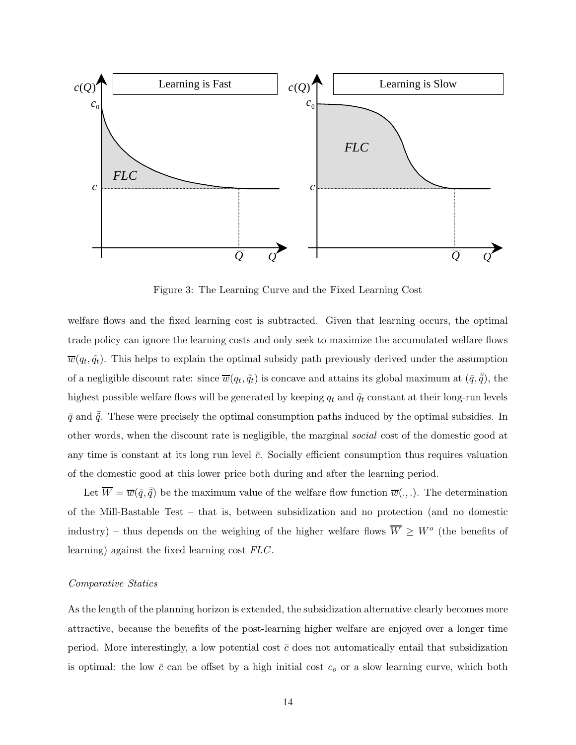

Figure 3: The Learning Curve and the Fixed Learning Cost

welfare flows and the fixed learning cost is subtracted. Given that learning occurs, the optimal trade policy can ignore the learning costs and only seek to maximize the accumulated welfare flows  $\overline{w}(q_t, \tilde{q}_t)$ . This helps to explain the optimal subsidy path previously derived under the assumption of a negligible discount rate: since  $\overline{w}(q_t, \tilde{q}_t)$  is concave and attains its global maximum at  $(\bar{q}, \bar{\tilde{q}})$ , the highest possible welfare flows will be generated by keeping  $q_t$  and  $\tilde{q}_t$  constant at their long-run levels  $\bar{q}$  and  $\bar{\tilde{q}}$ . These were precisely the optimal consumption paths induced by the optimal subsidies. In other words, when the discount rate is negligible, the marginal *social* cost of the domestic good at any time is constant at its long run level  $\bar{c}$ . Socially efficient consumption thus requires valuation of the domestic good at this lower price both during and after the learning period.

Let  $\overline{W} = \overline{w}(\overline{q}, \overline{\overline{q}})$  be the maximum value of the welfare flow function  $\overline{w}(.,.)$ . The determination of the Mill-Bastable Test – that is, between subsidization and no protection (and no domestic industry) – thus depends on the weighing of the higher welfare flows  $\overline{W} \geq W^o$  (the benefits of learning) against the fixed learning cost *FLC* .

#### *Comparative Statics*

As the length of the planning horizon is extended, the subsidization alternative clearly becomes more attractive, because the benefits of the post-learning higher welfare are enjoyed over a longer time period. More interestingly, a low potential cost  $\bar{c}$  does not automatically entail that subsidization is optimal: the low  $\bar{c}$  can be offset by a high initial cost  $c<sub>o</sub>$  or a slow learning curve, which both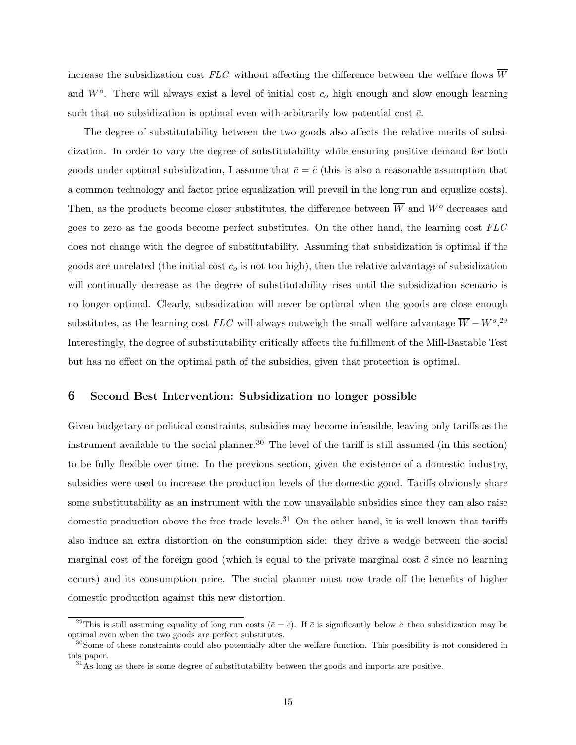increase the subsidization cost  $FLC$  without affecting the difference between the welfare flows  $\overline{W}$ and  $W<sup>o</sup>$ . There will always exist a level of initial cost  $c<sub>o</sub>$  high enough and slow enough learning such that no subsidization is optimal even with arbitrarily low potential cost  $\bar{c}$ .

The degree of substitutability between the two goods also affects the relative merits of subsidization. In order to vary the degree of substitutability while ensuring positive demand for both goods under optimal subsidization, I assume that  $\bar{c}=\tilde{c}$  (this is also a reasonable assumption that a common technology and factor price equalization will prevail in the long run and equalize costs). Then, as the products become closer substitutes, the difference between  $\overline{W}$  and  $W^o$  decreases and goes to zero as the goods become perfect substitutes. On the other hand, the learning cost *FLC* does not change with the degree of substitutability. Assuming that subsidization is optimal if the goods are unrelated (the initial cost  $c<sub>o</sub>$  is not too high), then the relative advantage of subsidization will continually decrease as the degree of substitutability rises until the subsidization scenario is no longer optimal. Clearly, subsidization will never be optimal when the goods are close enough substitutes, as the learning cost  $FLC$  will always outweigh the small welfare advantage  $\overline{W} - W^o$ .<sup>29</sup> Interestingly, the degree of substitutability critically affects the fulfillment of the Mill-Bastable Test but has no effect on the optimal path of the subsidies, given that protection is optimal.

## **6 Second Best Intervention: Subsidization no longer possible**

Given budgetary or political constraints, subsidies may become infeasible, leaving only tariffs as the instrument available to the social planner.<sup>30</sup> The level of the tariff is still assumed (in this section) to be fully flexible over time. In the previous section, given the existence of a domestic industry, subsidies were used to increase the production levels of the domestic good. Tariffs obviously share some substitutability as an instrument with the now unavailable subsidies since they can also raise domestic production above the free trade levels.<sup>31</sup> On the other hand, it is well known that tariffs also induce an extra distortion on the consumption side: they drive a wedge between the social marginal cost of the foreign good (which is equal to the private marginal cost  $\tilde{c}$  since no learning occurs) and its consumption price. The social planner must now trade off the benefits of higher domestic production against this new distortion.

<sup>&</sup>lt;sup>29</sup>This is still assuming equality of long run costs ( $\bar{c} = \tilde{c}$ ). If  $\bar{c}$  is significantly below  $\tilde{c}$  then subsidization may be optimal even when the two goods are perfect substitutes.

<sup>&</sup>lt;sup>30</sup>Some of these constraints could also potentially alter the welfare function. This possibility is not considered in this paper.

 $31\text{ As}$  long as there is some degree of substitutability between the goods and imports are positive.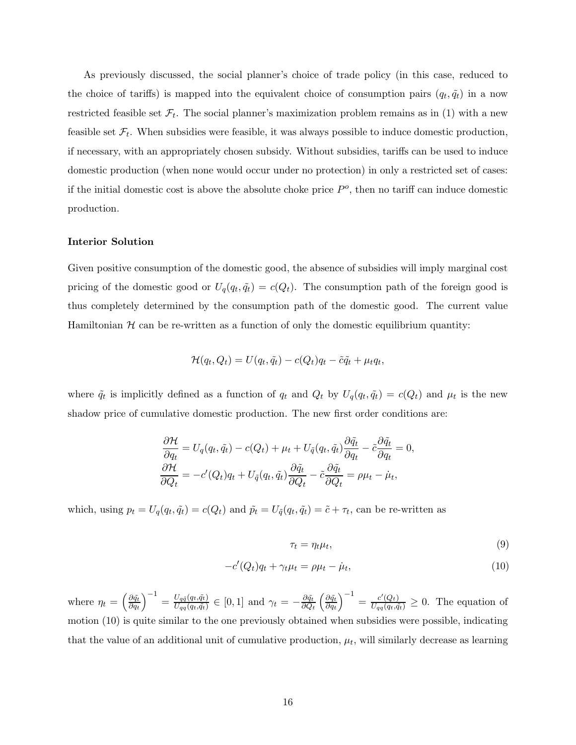As previously discussed, the social planner's choice of trade policy (in this case, reduced to the choice of tariffs) is mapped into the equivalent choice of consumption pairs  $(q_t, \tilde{q}_t)$  in a now restricted feasible set  $\mathcal{F}_t$ . The social planner's maximization problem remains as in (1) with a new feasible set  $\mathcal{F}_t$ . When subsidies were feasible, it was always possible to induce domestic production, if necessary, with an appropriately chosen subsidy. Without subsidies, tariffs can be used to induce domestic production (when none would occur under no protection) in only a restricted set of cases: if the initial domestic cost is above the absolute choke price  $P^o$ , then no tariff can induce domestic production.

#### **Interior Solution**

Given positive consumption of the domestic good, the absence of subsidies will imply marginal cost pricing of the domestic good or  $U_q(q_t, \tilde{q}_t) = c(Q_t)$ . The consumption path of the foreign good is thus completely determined by the consumption path of the domestic good. The current value Hamiltonian  $H$  can be re-written as a function of only the domestic equilibrium quantity:

$$
\mathcal{H}(q_t, Q_t) = U(q_t, \tilde{q}_t) - c(Q_t)q_t - \tilde{c}\tilde{q}_t + \mu_t q_t,
$$

where  $\tilde{q}_t$  is implicitly defined as a function of  $q_t$  and  $Q_t$  by  $U_q(q_t, \tilde{q}_t) = c(Q_t)$  and  $\mu_t$  is the new shadow price of cumulative domestic production. The new first order conditions are:

$$
\frac{\partial \mathcal{H}}{\partial q_t} = U_q(q_t, \tilde{q}_t) - c(Q_t) + \mu_t + U_{\tilde{q}}(q_t, \tilde{q}_t) \frac{\partial \tilde{q}_t}{\partial q_t} - \tilde{c} \frac{\partial \tilde{q}_t}{\partial q_t} = 0,
$$
  

$$
\frac{\partial \mathcal{H}}{\partial Q_t} = -c'(Q_t)q_t + U_{\tilde{q}}(q_t, \tilde{q}_t) \frac{\partial \tilde{q}_t}{\partial Q_t} - \tilde{c} \frac{\partial \tilde{q}_t}{\partial Q_t} = \rho \mu_t - \mu_t,
$$

which, using  $p_t = U_q(q_t, \tilde{q}_t) = c(Q_t)$  and  $\tilde{p}_t = U_{\tilde{q}}(q_t, \tilde{q}_t) = \tilde{c} + \tau_t$ , can be re-written as

$$
\tau_t = \eta_t \mu_t,\tag{9}
$$

$$
-c'(Q_t)q_t + \gamma_t \mu_t = \rho \mu_t - \dot{\mu}_t,\tag{10}
$$

where  $\eta_t = \left(\frac{\partial \tilde{q}_t}{\partial q_t}\right)$  $\partial q_t$  $\int^{-1} = \frac{U_{q\tilde{q}}(q_t,\tilde{q}_t)}{U_{qq}(q_t,\tilde{q}_t)} \in [0,1]$  and  $\gamma_t = -\frac{\partial \tilde{q}_t}{\partial Q_t}$  $\int$ ∂ $\tilde{q}_t$  $\partial q_t$  $\int^{-1} = \frac{c'(Q_t)}{U_{qq}(q_t,\tilde{q}_t)} \geq 0$ . The equation of motion (10) is quite similar to the one previously obtained when subsidies were possible, indicating that the value of an additional unit of cumulative production,  $\mu_t$ , will similarly decrease as learning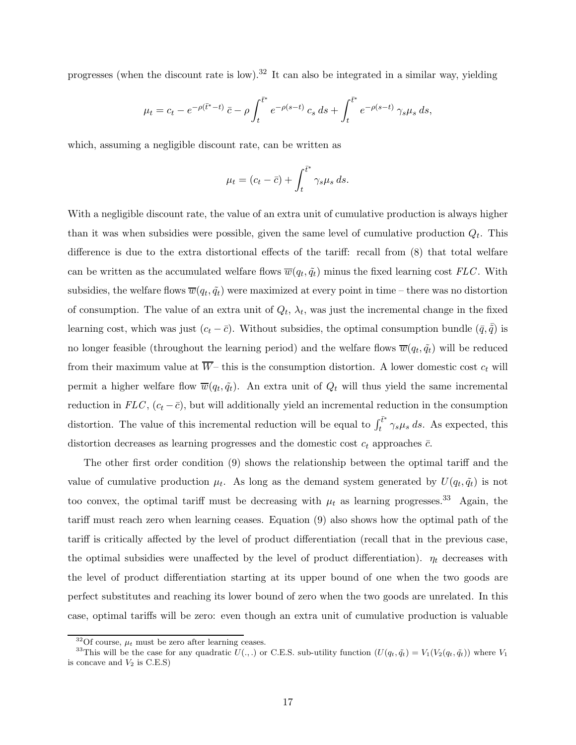progresses (when the discount rate is low).<sup>32</sup> It can also be integrated in a similar way, yielding

$$
\mu_t = c_t - e^{-\rho(\bar{t}^* - t)} \bar{c} - \rho \int_t^{\bar{t}^*} e^{-\rho(s-t)} c_s ds + \int_t^{\bar{t}^*} e^{-\rho(s-t)} \gamma_s \mu_s ds,
$$

which, assuming a negligible discount rate, can be written as

$$
\mu_t = (c_t - \bar{c}) + \int_t^{\bar{t}^*} \gamma_s \mu_s ds.
$$

With a negligible discount rate, the value of an extra unit of cumulative production is always higher than it was when subsidies were possible, given the same level of cumulative production  $Q_t$ . This difference is due to the extra distortional effects of the tariff: recall from (8) that total welfare can be written as the accumulated welfare flows  $\overline{w}(q_t, \tilde{q}_t)$  minus the fixed learning cost *FLC*. With subsidies, the welfare flows  $\overline{w}(q_t, \tilde{q}_t)$  were maximized at every point in time – there was no distortion of consumption. The value of an extra unit of  $Q_t$ ,  $\lambda_t$ , was just the incremental change in the fixed learning cost, which was just  $(c_t - \bar{c})$ . Without subsidies, the optimal consumption bundle  $(\bar{q}, \bar{\tilde{q}})$  is no longer feasible (throughout the learning period) and the welfare flows  $\overline{w}(q_t, \tilde{q}_t)$  will be reduced from their maximum value at  $\overline{W}$  – this is the consumption distortion. A lower domestic cost  $c_t$  will permit a higher welfare flow  $\overline{w}(q_t, \tilde{q}_t)$ . An extra unit of  $Q_t$  will thus yield the same incremental reduction in *FLC*,  $(c_t - \bar{c})$ , but will additionally yield an incremental reduction in the consumption distortion. The value of this incremental reduction will be equal to  $\int_t^{\bar{t}^*} \gamma_s \mu_s ds$ . As expected, this distortion decreases as learning progresses and the domestic cost  $c_t$  approaches  $\bar{c}$ .

The other first order condition (9) shows the relationship between the optimal tariff and the value of cumulative production  $\mu_t$ . As long as the demand system generated by  $U(q_t, \tilde{q}_t)$  is not too convex, the optimal tariff must be decreasing with  $\mu_t$  as learning progresses.<sup>33</sup> Again, the tariff must reach zero when learning ceases. Equation (9) also shows how the optimal path of the tariff is critically affected by the level of product differentiation (recall that in the previous case, the optimal subsidies were unaffected by the level of product differentiation).  $\eta_t$  decreases with the level of product differentiation starting at its upper bound of one when the two goods are perfect substitutes and reaching its lower bound of zero when the two goods are unrelated. In this case, optimal tariffs will be zero: even though an extra unit of cumulative production is valuable

 $32$ Of course,  $\mu_t$  must be zero after learning ceases.

<sup>&</sup>lt;sup>33</sup>This will be the case for any quadratic  $U(.,.)$  or C.E.S. sub-utility function  $(U(q_t, \tilde{q}_t) = V_1(V_2(q_t, \tilde{q}_t))$  where  $V_1$ is concave and  $V_2$  is  $C.E.S$ )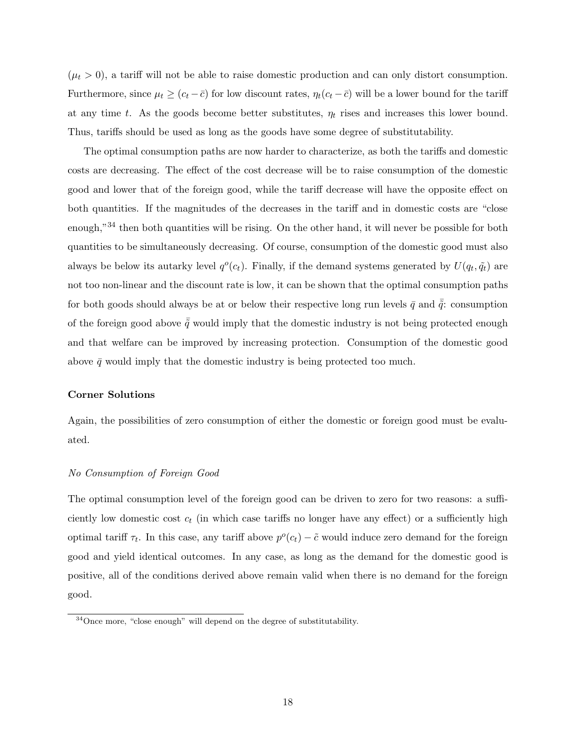$(\mu_t > 0)$ , a tariff will not be able to raise domestic production and can only distort consumption. Furthermore, since  $\mu_t \ge (c_t - \bar{c})$  for low discount rates,  $\eta_t(c_t - \bar{c})$  will be a lower bound for the tariff at any time t. As the goods become better substitutes,  $\eta_t$  rises and increases this lower bound. Thus, tariffs should be used as long as the goods have some degree of substitutability.

The optimal consumption paths are now harder to characterize, as both the tariffs and domestic costs are decreasing. The effect of the cost decrease will be to raise consumption of the domestic good and lower that of the foreign good, while the tariff decrease will have the opposite effect on both quantities. If the magnitudes of the decreases in the tariff and in domestic costs are "close enough,"<sup>34</sup> then both quantities will be rising. On the other hand, it will never be possible for both quantities to be simultaneously decreasing. Of course, consumption of the domestic good must also always be below its autarky level  $q^o(c_t)$ . Finally, if the demand systems generated by  $U(q_t, \tilde{q}_t)$  are not too non-linear and the discount rate is low, it can be shown that the optimal consumption paths for both goods should always be at or below their respective long run levels  $\bar{q}$  and  $\bar{\tilde{q}}$ : consumption of the foreign good above  $\bar{\tilde{q}}$  would imply that the domestic industry is not being protected enough and that welfare can be improved by increasing protection. Consumption of the domestic good above  $\bar{q}$  would imply that the domestic industry is being protected too much.

#### **Corner Solutions**

Again, the possibilities of zero consumption of either the domestic or foreign good must be evaluated.

#### *No Consumption of Foreign Good*

The optimal consumption level of the foreign good can be driven to zero for two reasons: a sufficiently low domestic cost  $c_t$  (in which case tariffs no longer have any effect) or a sufficiently high optimal tariff  $\tau_t$ . In this case, any tariff above  $p^o(c_t) - \tilde{c}$  would induce zero demand for the foreign good and yield identical outcomes. In any case, as long as the demand for the domestic good is positive, all of the conditions derived above remain valid when there is no demand for the foreign good.

<sup>34</sup>Once more, "close enough" will depend on the degree of substitutability.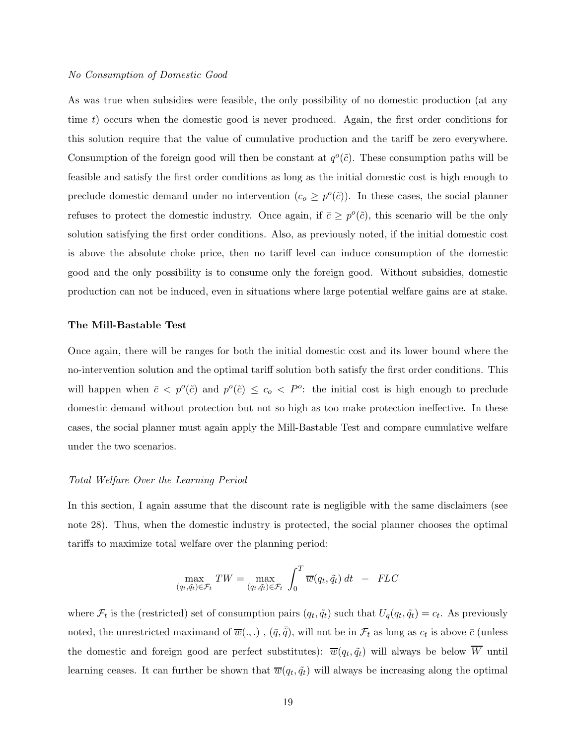#### *No Consumption of Domestic Good*

As was true when subsidies were feasible, the only possibility of no domestic production (at any time t) occurs when the domestic good is never produced. Again, the first order conditions for this solution require that the value of cumulative production and the tariff be zero everywhere. Consumption of the foreign good will then be constant at  $q^o(\tilde{c})$ . These consumption paths will be feasible and satisfy the first order conditions as long as the initial domestic cost is high enough to preclude domestic demand under no intervention  $(c_o \geq p^o(\tilde{c}))$ . In these cases, the social planner refuses to protect the domestic industry. Once again, if  $\bar{c} \geq p^o(\tilde{c})$ , this scenario will be the only solution satisfying the first order conditions. Also, as previously noted, if the initial domestic cost is above the absolute choke price, then no tariff level can induce consumption of the domestic good and the only possibility is to consume only the foreign good. Without subsidies, domestic production can not be induced, even in situations where large potential welfare gains are at stake.

#### **The Mill-Bastable Test**

Once again, there will be ranges for both the initial domestic cost and its lower bound where the no-intervention solution and the optimal tariff solution both satisfy the first order conditions. This will happen when  $\bar{c} < p^o(\tilde{c})$  and  $p^o(\tilde{c}) \leq c_o < P^o$ : the initial cost is high enough to preclude domestic demand without protection but not so high as too make protection ineffective. In these cases, the social planner must again apply the Mill-Bastable Test and compare cumulative welfare under the two scenarios.

#### *Total Welfare Over the Learning Period*

In this section, I again assume that the discount rate is negligible with the same disclaimers (see note 28). Thus, when the domestic industry is protected, the social planner chooses the optimal tariffs to maximize total welfare over the planning period:

$$
\max_{(q_t, \tilde{q_t}) \in \mathcal{F}_t} TW = \max_{(q_t, \tilde{q}_t) \in \mathcal{F}_t} \int_0^T \overline{w}(q_t, \tilde{q}_t) dt - FLC
$$

where  $\mathcal{F}_t$  is the (restricted) set of consumption pairs  $(q_t, \tilde{q}_t)$  such that  $U_q(q_t, \tilde{q}_t) = c_t$ . As previously noted, the unrestricted maximand of  $\overline{w}(.,.)$ ,  $(\overline{q}, \overline{\hat{q}})$ , will not be in  $\mathcal{F}_t$  as long as  $c_t$  is above  $\overline{c}$  (unless the domestic and foreign good are perfect substitutes):  $\overline{w}(q_t, \tilde{q}_t)$  will always be below  $\overline{W}$  until learning ceases. It can further be shown that  $\overline{w}(q_t, \tilde{q}_t)$  will always be increasing along the optimal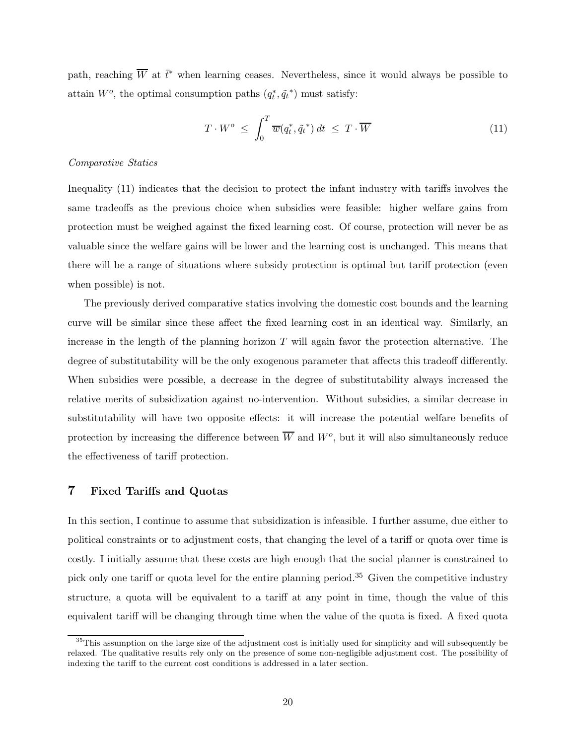path, reaching  $\overline{W}$  at  $\overline{t}^*$  when learning ceases. Nevertheless, since it would always be possible to attain  $W^o$ , the optimal consumption paths  $(q_t^*, \tilde{q_t}^*)$  must satisfy:

$$
T \cdot W^o \leq \int_0^T \overline{w}(q_t^*, \tilde{q}_t^*) dt \leq T \cdot \overline{W}
$$
\n(11)

#### *Comparative Statics*

Inequality (11) indicates that the decision to protect the infant industry with tariffs involves the same tradeoffs as the previous choice when subsidies were feasible: higher welfare gains from protection must be weighed against the fixed learning cost. Of course, protection will never be as valuable since the welfare gains will be lower and the learning cost is unchanged. This means that there will be a range of situations where subsidy protection is optimal but tariff protection (even when possible) is not.

The previously derived comparative statics involving the domestic cost bounds and the learning curve will be similar since these affect the fixed learning cost in an identical way. Similarly, an increase in the length of the planning horizon  $T$  will again favor the protection alternative. The degree of substitutability will be the only exogenous parameter that affects this tradeoff differently. When subsidies were possible, a decrease in the degree of substitutability always increased the relative merits of subsidization against no-intervention. Without subsidies, a similar decrease in substitutability will have two opposite effects: it will increase the potential welfare benefits of protection by increasing the difference between  $\overline{W}$  and  $W^o$ , but it will also simultaneously reduce the effectiveness of tariff protection.

### **7 Fixed Tariffs and Quotas**

In this section, I continue to assume that subsidization is infeasible. I further assume, due either to political constraints or to adjustment costs, that changing the level of a tariff or quota over time is costly. I initially assume that these costs are high enough that the social planner is constrained to pick only one tariff or quota level for the entire planning period.<sup>35</sup> Given the competitive industry structure, a quota will be equivalent to a tariff at any point in time, though the value of this equivalent tariff will be changing through time when the value of the quota is fixed. A fixed quota

 $35$ This assumption on the large size of the adjustment cost is initially used for simplicity and will subsequently be relaxed. The qualitative results rely only on the presence of some non-negligible adjustment cost. The possibility of indexing the tariff to the current cost conditions is addressed in a later section.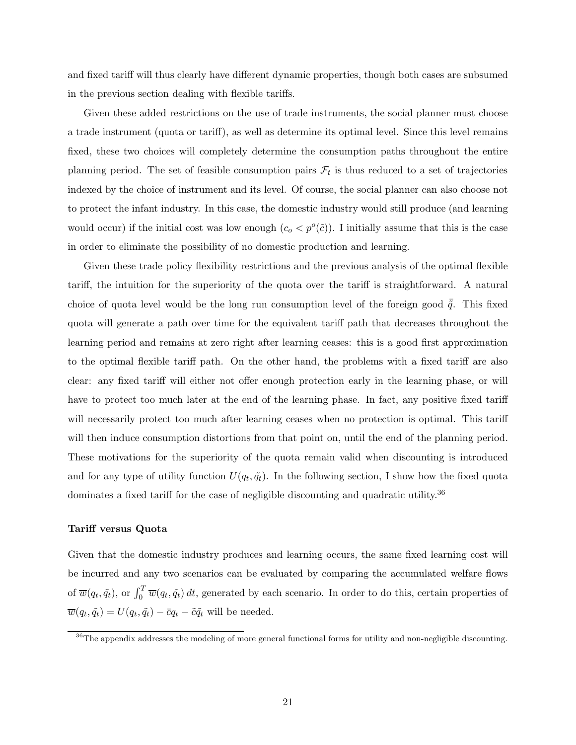and fixed tariff will thus clearly have different dynamic properties, though both cases are subsumed in the previous section dealing with flexible tariffs.

Given these added restrictions on the use of trade instruments, the social planner must choose a trade instrument (quota or tariff), as well as determine its optimal level. Since this level remains fixed, these two choices will completely determine the consumption paths throughout the entire planning period. The set of feasible consumption pairs  $\mathcal{F}_t$  is thus reduced to a set of trajectories indexed by the choice of instrument and its level. Of course, the social planner can also choose not to protect the infant industry. In this case, the domestic industry would still produce (and learning would occur) if the initial cost was low enough  $(c_0 < p^o(\tilde{c}))$ . I initially assume that this is the case in order to eliminate the possibility of no domestic production and learning.

Given these trade policy flexibility restrictions and the previous analysis of the optimal flexible tariff, the intuition for the superiority of the quota over the tariff is straightforward. A natural choice of quota level would be the long run consumption level of the foreign good  $\bar{q}$ . This fixed quota will generate a path over time for the equivalent tariff path that decreases throughout the learning period and remains at zero right after learning ceases: this is a good first approximation to the optimal flexible tariff path. On the other hand, the problems with a fixed tariff are also clear: any fixed tariff will either not offer enough protection early in the learning phase, or will have to protect too much later at the end of the learning phase. In fact, any positive fixed tariff will necessarily protect too much after learning ceases when no protection is optimal. This tariff will then induce consumption distortions from that point on, until the end of the planning period. These motivations for the superiority of the quota remain valid when discounting is introduced and for any type of utility function  $U(q_t, \tilde{q}_t)$ . In the following section, I show how the fixed quota dominates a fixed tariff for the case of negligible discounting and quadratic utility.<sup>36</sup>

#### **Tariff versus Quota**

Given that the domestic industry produces and learning occurs, the same fixed learning cost will be incurred and any two scenarios can be evaluated by comparing the accumulated welfare flows of  $\overline{w}(q_t, \tilde{q}_t)$ , or  $\int_0^T \overline{w}(q_t, \tilde{q}_t) dt$ , generated by each scenario. In order to do this, certain properties of  $\overline{w}(q_t, \tilde{q}_t) = U(q_t, \tilde{q}_t) - \overline{c}q_t - \tilde{c}\tilde{q}_t$  will be needed.

 $36$ The appendix addresses the modeling of more general functional forms for utility and non-negligible discounting.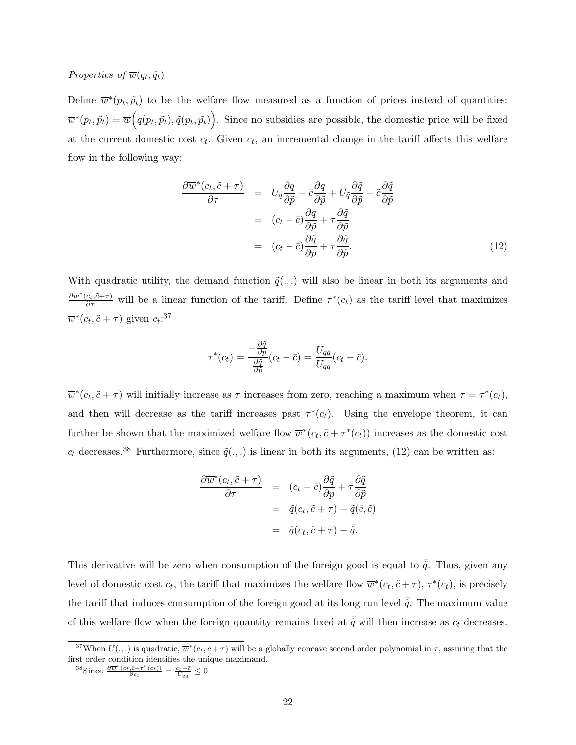## *Properties of*  $\overline{w}(q_t, \tilde{q}_t)$

Define  $\overline{w}*(p_t, \tilde{p}_t)$  to be the welfare flow measured as a function of prices instead of quantities:  $\overline{w}^*(p_t, \tilde{p}_t) = \overline{w}(q(p_t, \tilde{p}_t), \tilde{q}(p_t, \tilde{p}_t)).$  Since no subsidies are possible, the domestic price will be fixed at the current domestic cost  $c_t$ . Given  $c_t$ , an incremental change in the tariff affects this welfare flow in the following way:

$$
\frac{\partial \overline{w}^*(c_t, \tilde{c} + \tau)}{\partial \tau} = U_q \frac{\partial q}{\partial \tilde{p}} - \bar{c} \frac{\partial q}{\partial \tilde{p}} + U_{\tilde{q}} \frac{\partial \tilde{q}}{\partial \tilde{p}} - \tilde{c} \frac{\partial \tilde{q}}{\partial \tilde{p}}
$$

$$
= (c_t - \bar{c}) \frac{\partial q}{\partial \tilde{p}} + \tau \frac{\partial \tilde{q}}{\partial \tilde{p}}
$$

$$
= (c_t - \bar{c}) \frac{\partial \tilde{q}}{\partial p} + \tau \frac{\partial \tilde{q}}{\partial \tilde{p}}.
$$
(12)

With quadratic utility, the demand function  $\tilde{q}(.,.)$  will also be linear in both its arguments and  $\frac{\partial \overline{w}^*(c_t,\tilde{c}+\tau)}{\partial \tau}$  will be a linear function of the tariff. Define  $\tau^*(c_t)$  as the tariff level that maximizes  $\overline{w}^*(c_t, \tilde{c} + \tau)$  given  $c_t$ :<sup>37</sup>

$$
\tau^*(c_t) = \frac{-\frac{\partial \tilde{q}}{\partial p}}{\frac{\partial \tilde{q}}{\partial \tilde{p}}}(c_t - \bar{c}) = \frac{U_{q\tilde{q}}}{U_{qq}}(c_t - \bar{c}).
$$

 $\overline{w}*(c_t, \tilde{c} + \tau)$  will initially increase as  $\tau$  increases from zero, reaching a maximum when  $\tau = \tau^*(c_t)$ , and then will decrease as the tariff increases past  $\tau^*(c_t)$ . Using the envelope theorem, it can further be shown that the maximized welfare flow  $\overline{w}^*(c_t, \tilde{c} + \tau^*(c_t))$  increases as the domestic cost  $c_t$  decreases.<sup>38</sup> Furthermore, since  $\tilde{q}(.,.)$  is linear in both its arguments, (12) can be written as:

$$
\frac{\partial \overline{w}^*(c_t, \tilde{c} + \tau)}{\partial \tau} = (c_t - \bar{c}) \frac{\partial \tilde{q}}{\partial p} + \tau \frac{\partial \tilde{q}}{\partial \tilde{p}}
$$

$$
= \tilde{q}(c_t, \tilde{c} + \tau) - \tilde{q}(\bar{c}, \tilde{c})
$$

$$
= \tilde{q}(c_t, \tilde{c} + \tau) - \bar{\tilde{q}}.
$$

This derivative will be zero when consumption of the foreign good is equal to  $\bar{q}$ . Thus, given any level of domestic cost  $c_t$ , the tariff that maximizes the welfare flow  $\overline{w}^*(c_t, \tilde{c} + \tau)$ ,  $\tau^*(c_t)$ , is precisely the tariff that induces consumption of the foreign good at its long run level  $\bar{\tilde{q}}$ . The maximum value of this welfare flow when the foreign quantity remains fixed at  $\bar{\tilde{q}}$  will then increase as  $c_t$  decreases.

<sup>&</sup>lt;sup>37</sup>When  $U(.,.)$  is quadratic,  $\overline{w}^*(c_t, \tilde{c}+\tau)$  will be a globally concave second order polynomial in  $\tau$ , assuring that the first order condition identifies the unique maximand.

 $\frac{\partial \overline{w}^*(c_t, \tilde{c} + \tau^*(c_t))}{\partial c_t} = \frac{c_t - \bar{c}}{U_{qq}} \leq 0$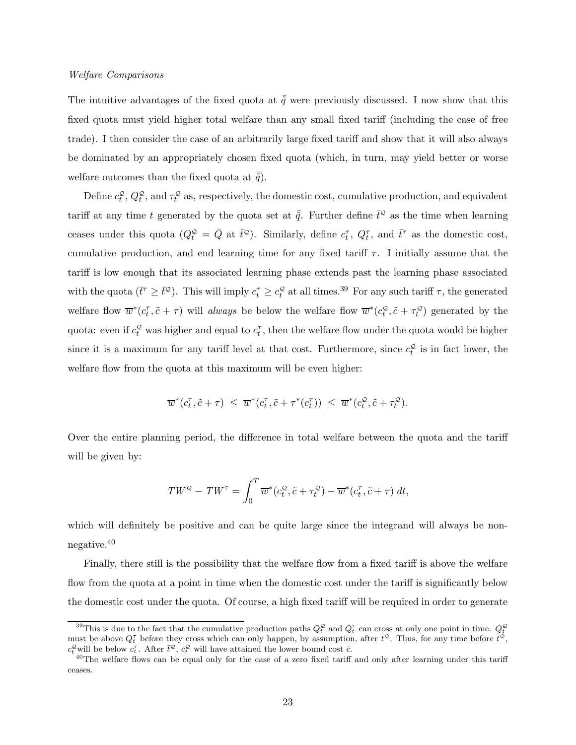#### *Welfare Comparisons*

The intuitive advantages of the fixed quota at  $\bar{q}$  were previously discussed. I now show that this fixed quota must yield higher total welfare than any small fixed tariff (including the case of free trade). I then consider the case of an arbitrarily large fixed tariff and show that it will also always be dominated by an appropriately chosen fixed quota (which, in turn, may yield better or worse welfare outcomes than the fixed quota at  $\tilde{q}$ ).

Define  $c_t^Q$ ,  $Q_t^Q$ , and  $\tau_t^Q$  as, respectively, the domestic cost, cumulative production, and equivalent tariff at any time t generated by the quota set at  $\bar{q}$ . Further define  $\bar{t}^{\mathcal{Q}}$  as the time when learning ceases under this quota  $(Q_t^{\mathcal{Q}} = \overline{Q}$  at  $\overline{t}^{\mathcal{Q}})$ . Similarly, define  $c_t^{\tau}$ ,  $Q_t^{\tau}$ , and  $\overline{t}^{\tau}$  as the domestic cost, cumulative production, and end learning time for any fixed tariff  $\tau$ . I initially assume that the tariff is low enough that its associated learning phase extends past the learning phase associated with the quota  $(\bar{t}^{\tau} \geq \bar{t}^{\mathcal{Q}})$ . This will imply  $c_t^{\tau} \geq c_t^{\mathcal{Q}}$  at all times.<sup>39</sup> For any such tariff  $\tau$ , the generated welfare flow  $\overline{w}^*(c_t^{\tau}, \tilde{c} + \tau)$  will *always* be below the welfare flow  $\overline{w}^*(c_t^2, \tilde{c} + \tau_t^2)$  generated by the quota: even if  $c_t^{\mathcal{Q}}$  was higher and equal to  $c_t^{\tau}$ , then the welfare flow under the quota would be higher since it is a maximum for any tariff level at that cost. Furthermore, since  $c_t^{\mathcal{Q}}$  is in fact lower, the welfare flow from the quota at this maximum will be even higher:

$$
\overline{w}^*(c_t^{\tau}, \tilde{c} + \tau) \leq \overline{w}^*(c_t^{\tau}, \tilde{c} + \tau^*(c_t^{\tau})) \leq \overline{w}^*(c_t^{\mathcal{Q}}, \tilde{c} + \tau_t^{\mathcal{Q}}).
$$

Over the entire planning period, the difference in total welfare between the quota and the tariff will be given by:

$$
TW^{\mathcal{Q}} - TW^{\tau} = \int_0^T \overline{w}^*(c_t^{\mathcal{Q}}, \tilde{c} + \tau_t^{\mathcal{Q}}) - \overline{w}^*(c_t^{\tau}, \tilde{c} + \tau) dt,
$$

which will definitely be positive and can be quite large since the integrand will always be nonnegative.<sup>40</sup>

Finally, there still is the possibility that the welfare flow from a fixed tariff is above the welfare flow from the quota at a point in time when the domestic cost under the tariff is significantly below the domestic cost under the quota. Of course, a high fixed tariff will be required in order to generate

<sup>&</sup>lt;sup>39</sup>This is due to the fact that the cumulative production paths  $Q_t^{\mathcal{Q}}$  and  $Q_t^{\tau}$  can cross at only one point in time.  $Q_t^{\mathcal{Q}}$  must be above  $Q_t^{\tau}$  before they cross which can only happen, by assumption, aft  $c_t^{\mathcal{Q}}$  will be below  $c_t^{\tau}$ . After  $\bar{t}^{\mathcal{Q}}, c_t^{\mathcal{Q}}$  will have attained the lower bound cost  $\bar{c}$ .<br><sup>40</sup>The welfare flows can be equal only for the case of a zero fixed tariff and only after learning under

ceases.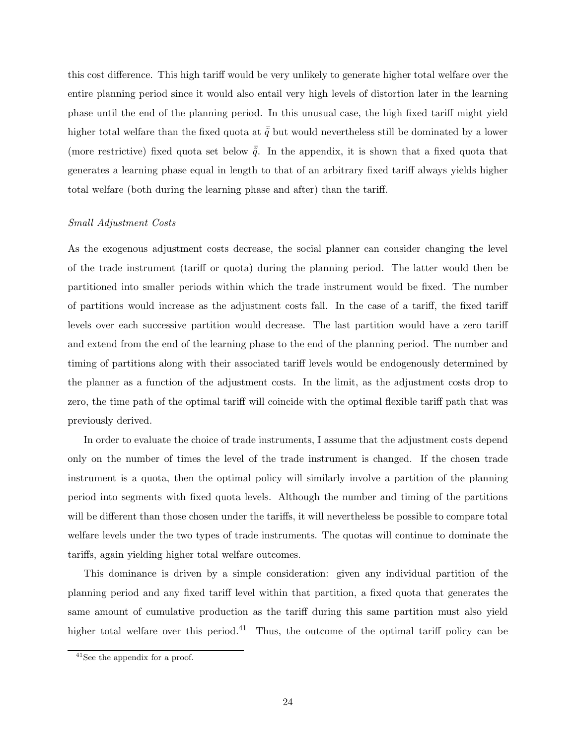this cost difference. This high tariff would be very unlikely to generate higher total welfare over the entire planning period since it would also entail very high levels of distortion later in the learning phase until the end of the planning period. In this unusual case, the high fixed tariff might yield higher total welfare than the fixed quota at  $\tilde{\tilde{q}}$  but would nevertheless still be dominated by a lower (more restrictive) fixed quota set below  $\tilde{\tilde{q}}$ . In the appendix, it is shown that a fixed quota that generates a learning phase equal in length to that of an arbitrary fixed tariff always yields higher total welfare (both during the learning phase and after) than the tariff.

#### *Small Adjustment Costs*

As the exogenous adjustment costs decrease, the social planner can consider changing the level of the trade instrument (tariff or quota) during the planning period. The latter would then be partitioned into smaller periods within which the trade instrument would be fixed. The number of partitions would increase as the adjustment costs fall. In the case of a tariff, the fixed tariff levels over each successive partition would decrease. The last partition would have a zero tariff and extend from the end of the learning phase to the end of the planning period. The number and timing of partitions along with their associated tariff levels would be endogenously determined by the planner as a function of the adjustment costs. In the limit, as the adjustment costs drop to zero, the time path of the optimal tariff will coincide with the optimal flexible tariff path that was previously derived.

In order to evaluate the choice of trade instruments, I assume that the adjustment costs depend only on the number of times the level of the trade instrument is changed. If the chosen trade instrument is a quota, then the optimal policy will similarly involve a partition of the planning period into segments with fixed quota levels. Although the number and timing of the partitions will be different than those chosen under the tariffs, it will nevertheless be possible to compare total welfare levels under the two types of trade instruments. The quotas will continue to dominate the tariffs, again yielding higher total welfare outcomes.

This dominance is driven by a simple consideration: given any individual partition of the planning period and any fixed tariff level within that partition, a fixed quota that generates the same amount of cumulative production as the tariff during this same partition must also yield higher total welfare over this period.<sup>41</sup> Thus, the outcome of the optimal tariff policy can be

<sup>&</sup>lt;sup>41</sup>See the appendix for a proof.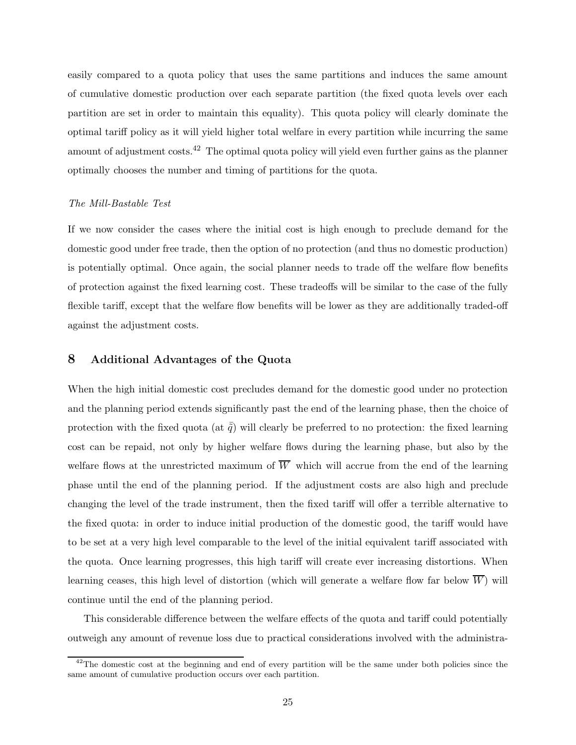easily compared to a quota policy that uses the same partitions and induces the same amount of cumulative domestic production over each separate partition (the fixed quota levels over each partition are set in order to maintain this equality). This quota policy will clearly dominate the optimal tariff policy as it will yield higher total welfare in every partition while incurring the same amount of adjustment costs.<sup>42</sup> The optimal quota policy will yield even further gains as the planner optimally chooses the number and timing of partitions for the quota.

#### *The Mill-Bastable Test*

If we now consider the cases where the initial cost is high enough to preclude demand for the domestic good under free trade, then the option of no protection (and thus no domestic production) is potentially optimal. Once again, the social planner needs to trade off the welfare flow benefits of protection against the fixed learning cost. These tradeoffs will be similar to the case of the fully flexible tariff, except that the welfare flow benefits will be lower as they are additionally traded-off against the adjustment costs.

## **8 Additional Advantages of the Quota**

When the high initial domestic cost precludes demand for the domestic good under no protection and the planning period extends significantly past the end of the learning phase, then the choice of protection with the fixed quota (at  $\bar{\tilde{q}}$ ) will clearly be preferred to no protection: the fixed learning cost can be repaid, not only by higher welfare flows during the learning phase, but also by the welfare flows at the unrestricted maximum of  $\overline{W}$  which will accrue from the end of the learning phase until the end of the planning period. If the adjustment costs are also high and preclude changing the level of the trade instrument, then the fixed tariff will offer a terrible alternative to the fixed quota: in order to induce initial production of the domestic good, the tariff would have to be set at a very high level comparable to the level of the initial equivalent tariff associated with the quota. Once learning progresses, this high tariff will create ever increasing distortions. When learning ceases, this high level of distortion (which will generate a welfare flow far below  $\overline{W}$ ) will continue until the end of the planning period.

This considerable difference between the welfare effects of the quota and tariff could potentially outweigh any amount of revenue loss due to practical considerations involved with the administra-

<sup>&</sup>lt;sup>42</sup>The domestic cost at the beginning and end of every partition will be the same under both policies since the same amount of cumulative production occurs over each partition.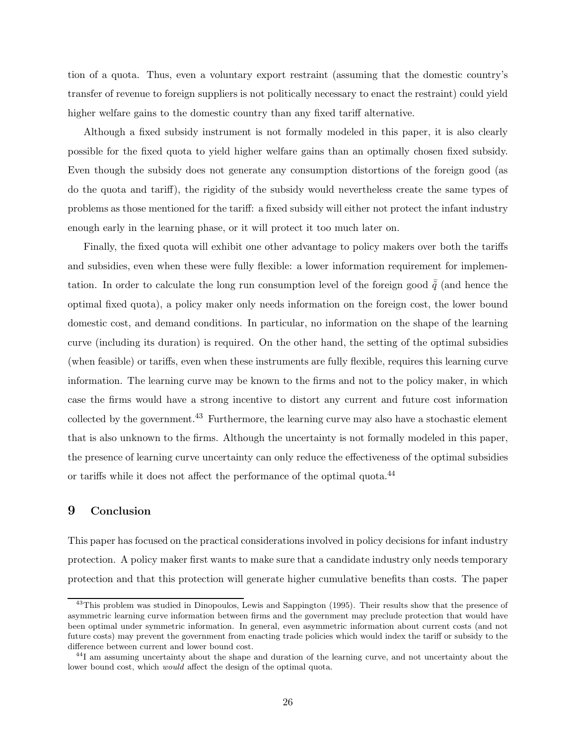tion of a quota. Thus, even a voluntary export restraint (assuming that the domestic country's transfer of revenue to foreign suppliers is not politically necessary to enact the restraint) could yield higher welfare gains to the domestic country than any fixed tariff alternative.

Although a fixed subsidy instrument is not formally modeled in this paper, it is also clearly possible for the fixed quota to yield higher welfare gains than an optimally chosen fixed subsidy. Even though the subsidy does not generate any consumption distortions of the foreign good (as do the quota and tariff), the rigidity of the subsidy would nevertheless create the same types of problems as those mentioned for the tariff: a fixed subsidy will either not protect the infant industry enough early in the learning phase, or it will protect it too much later on.

Finally, the fixed quota will exhibit one other advantage to policy makers over both the tariffs and subsidies, even when these were fully flexible: a lower information requirement for implementation. In order to calculate the long run consumption level of the foreign good  $\bar{\tilde{q}}$  (and hence the optimal fixed quota), a policy maker only needs information on the foreign cost, the lower bound domestic cost, and demand conditions. In particular, no information on the shape of the learning curve (including its duration) is required. On the other hand, the setting of the optimal subsidies (when feasible) or tariffs, even when these instruments are fully flexible, requires this learning curve information. The learning curve may be known to the firms and not to the policy maker, in which case the firms would have a strong incentive to distort any current and future cost information collected by the government.<sup>43</sup> Furthermore, the learning curve may also have a stochastic element that is also unknown to the firms. Although the uncertainty is not formally modeled in this paper, the presence of learning curve uncertainty can only reduce the effectiveness of the optimal subsidies or tariffs while it does not affect the performance of the optimal quota.<sup>44</sup>

## **9 Conclusion**

This paper has focused on the practical considerations involved in policy decisions for infant industry protection. A policy maker first wants to make sure that a candidate industry only needs temporary protection and that this protection will generate higher cumulative benefits than costs. The paper

<sup>&</sup>lt;sup>43</sup>This problem was studied in Dinopoulos, Lewis and Sappington (1995). Their results show that the presence of asymmetric learning curve information between firms and the government may preclude protection that would have been optimal under symmetric information. In general, even asymmetric information about current costs (and not future costs) may prevent the government from enacting trade policies which would index the tariff or subsidy to the difference between current and lower bound cost.

<sup>&</sup>lt;sup>44</sup>I am assuming uncertainty about the shape and duration of the learning curve, and not uncertainty about the lower bound cost, which *would* affect the design of the optimal quota.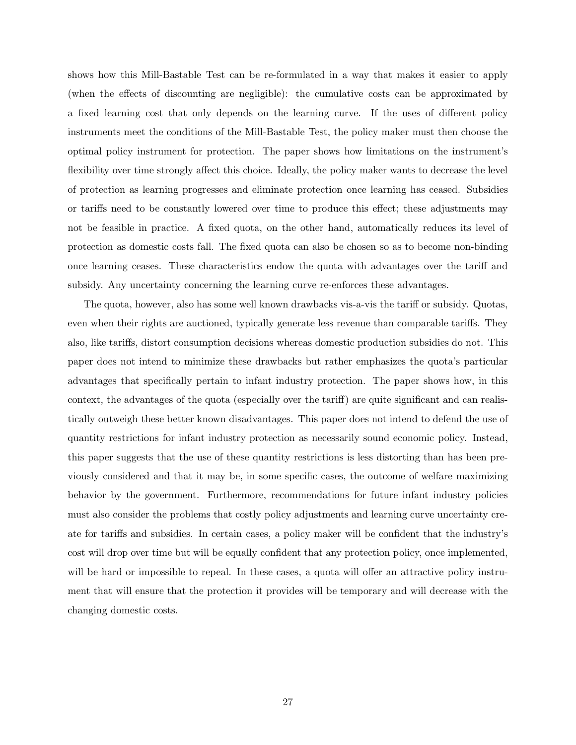shows how this Mill-Bastable Test can be re-formulated in a way that makes it easier to apply (when the effects of discounting are negligible): the cumulative costs can be approximated by a fixed learning cost that only depends on the learning curve. If the uses of different policy instruments meet the conditions of the Mill-Bastable Test, the policy maker must then choose the optimal policy instrument for protection. The paper shows how limitations on the instrument's flexibility over time strongly affect this choice. Ideally, the policy maker wants to decrease the level of protection as learning progresses and eliminate protection once learning has ceased. Subsidies or tariffs need to be constantly lowered over time to produce this effect; these adjustments may not be feasible in practice. A fixed quota, on the other hand, automatically reduces its level of protection as domestic costs fall. The fixed quota can also be chosen so as to become non-binding once learning ceases. These characteristics endow the quota with advantages over the tariff and subsidy. Any uncertainty concerning the learning curve re-enforces these advantages.

The quota, however, also has some well known drawbacks vis-a-vis the tariff or subsidy. Quotas, even when their rights are auctioned, typically generate less revenue than comparable tariffs. They also, like tariffs, distort consumption decisions whereas domestic production subsidies do not. This paper does not intend to minimize these drawbacks but rather emphasizes the quota's particular advantages that specifically pertain to infant industry protection. The paper shows how, in this context, the advantages of the quota (especially over the tariff) are quite significant and can realistically outweigh these better known disadvantages. This paper does not intend to defend the use of quantity restrictions for infant industry protection as necessarily sound economic policy. Instead, this paper suggests that the use of these quantity restrictions is less distorting than has been previously considered and that it may be, in some specific cases, the outcome of welfare maximizing behavior by the government. Furthermore, recommendations for future infant industry policies must also consider the problems that costly policy adjustments and learning curve uncertainty create for tariffs and subsidies. In certain cases, a policy maker will be confident that the industry's cost will drop over time but will be equally confident that any protection policy, once implemented, will be hard or impossible to repeal. In these cases, a quota will offer an attractive policy instrument that will ensure that the protection it provides will be temporary and will decrease with the changing domestic costs.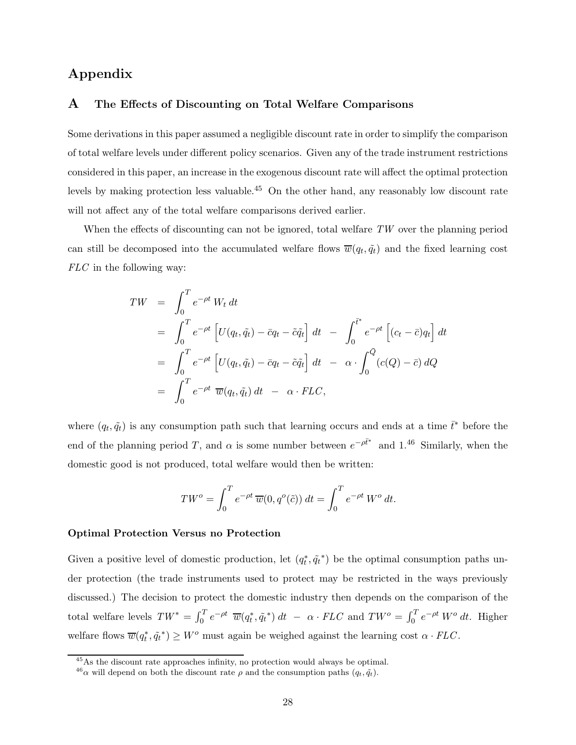## **Appendix**

## **A The Effects of Discounting on Total Welfare Comparisons**

Some derivations in this paper assumed a negligible discount rate in order to simplify the comparison of total welfare levels under different policy scenarios. Given any of the trade instrument restrictions considered in this paper, an increase in the exogenous discount rate will affect the optimal protection levels by making protection less valuable.<sup>45</sup> On the other hand, any reasonably low discount rate will not affect any of the total welfare comparisons derived earlier.

When the effects of discounting can not be ignored, total welfare *TW* over the planning period can still be decomposed into the accumulated welfare flows  $\overline{w}(q_t, \tilde{q}_t)$  and the fixed learning cost *FLC* in the following way:

$$
TW = \int_0^T e^{-\rho t} W_t dt
$$
  
\n
$$
= \int_0^T e^{-\rho t} \left[ U(q_t, \tilde{q}_t) - \bar{c}q_t - \tilde{c}\tilde{q}_t \right] dt - \int_0^{\tilde{t}^*} e^{-\rho t} \left[ (c_t - \bar{c})q_t \right] dt
$$
  
\n
$$
= \int_0^T e^{-\rho t} \left[ U(q_t, \tilde{q}_t) - \bar{c}q_t - \tilde{c}\tilde{q}_t \right] dt - \alpha \cdot \int_0^{\bar{Q}} (c(Q) - \bar{c}) dQ
$$
  
\n
$$
= \int_0^T e^{-\rho t} \overline{w}(q_t, \tilde{q}_t) dt - \alpha \cdot FLC,
$$

where  $(q_t, \tilde{q}_t)$  is any consumption path such that learning occurs and ends at a time  $\bar{t}^*$  before the end of the planning period T, and  $\alpha$  is some number between  $e^{-\rho \bar{t}^*}$  and 1.<sup>46</sup> Similarly, when the domestic good is not produced, total welfare would then be written:

$$
TW^o = \int_0^T e^{-\rho t} \overline{w}(0, q^o(\tilde{c})) dt = \int_0^T e^{-\rho t} W^o dt.
$$

#### **Optimal Protection Versus no Protection**

Given a positive level of domestic production, let  $(q_t^*, \tilde{q}_t^*)$  be the optimal consumption paths under protection (the trade instruments used to protect may be restricted in the ways previously discussed.) The decision to protect the domestic industry then depends on the comparison of the total welfare levels  $TW^* = \int_0^T e^{-\rho t} \ \overline{w}(q_t^*, \tilde{q}_t^*) dt - \alpha \cdot FLC$  and  $TW^o = \int_0^T e^{-\rho t} W^o dt$ . Higher welfare flows  $\overline{w}(q_t^*, \tilde{q}_t^*) \geq W^o$  must again be weighed against the learning cost  $\alpha \cdot FLC$ .

<sup>45</sup>As the discount rate approaches infinity, no protection would always be optimal.

 $^{46}\alpha$  will depend on both the discount rate  $\rho$  and the consumption paths  $(q_t, \tilde{q}_t)$ .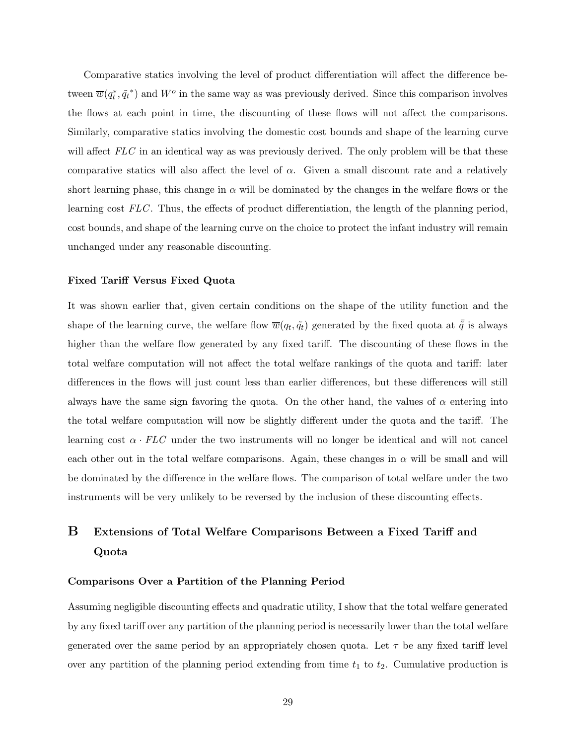Comparative statics involving the level of product differentiation will affect the difference between  $\overline{w}(q_t^*, \tilde{q}_t^*)$  and  $W^o$  in the same way as was previously derived. Since this comparison involves the flows at each point in time, the discounting of these flows will not affect the comparisons. Similarly, comparative statics involving the domestic cost bounds and shape of the learning curve will affect *FLC* in an identical way as was previously derived. The only problem will be that these comparative statics will also affect the level of  $\alpha$ . Given a small discount rate and a relatively short learning phase, this change in  $\alpha$  will be dominated by the changes in the welfare flows or the learning cost *FLC*. Thus, the effects of product differentiation, the length of the planning period, cost bounds, and shape of the learning curve on the choice to protect the infant industry will remain unchanged under any reasonable discounting.

#### **Fixed Tariff Versus Fixed Quota**

It was shown earlier that, given certain conditions on the shape of the utility function and the shape of the learning curve, the welfare flow  $\overline{w}(q_t, \tilde{q}_t)$  generated by the fixed quota at  $\overline{\tilde{q}}$  is always higher than the welfare flow generated by any fixed tariff. The discounting of these flows in the total welfare computation will not affect the total welfare rankings of the quota and tariff: later differences in the flows will just count less than earlier differences, but these differences will still always have the same sign favoring the quota. On the other hand, the values of  $\alpha$  entering into the total welfare computation will now be slightly different under the quota and the tariff. The learning cost  $\alpha \cdot FLC$  under the two instruments will no longer be identical and will not cancel each other out in the total welfare comparisons. Again, these changes in  $\alpha$  will be small and will be dominated by the difference in the welfare flows. The comparison of total welfare under the two instruments will be very unlikely to be reversed by the inclusion of these discounting effects.

## **B Extensions of Total Welfare Comparisons Between a Fixed Tariff and Quota**

#### **Comparisons Over a Partition of the Planning Period**

Assuming negligible discounting effects and quadratic utility, I show that the total welfare generated by any fixed tariff over any partition of the planning period is necessarily lower than the total welfare generated over the same period by an appropriately chosen quota. Let  $\tau$  be any fixed tariff level over any partition of the planning period extending from time  $t_1$  to  $t_2$ . Cumulative production is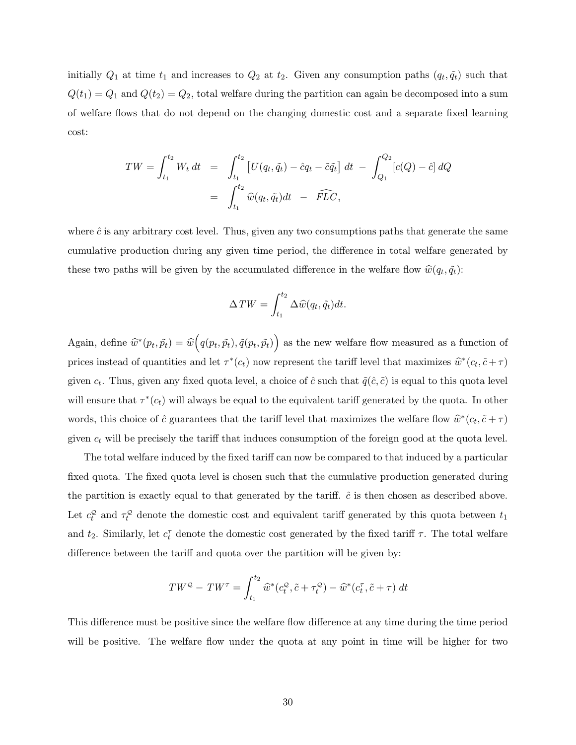initially  $Q_1$  at time  $t_1$  and increases to  $Q_2$  at  $t_2$ . Given any consumption paths  $(q_t, \tilde{q}_t)$  such that  $Q(t_1) = Q_1$  and  $Q(t_2) = Q_2$ , total welfare during the partition can again be decomposed into a sum of welfare flows that do not depend on the changing domestic cost and a separate fixed learning cost:

$$
TW = \int_{t_1}^{t_2} W_t dt = \int_{t_1}^{t_2} \left[ U(q_t, \tilde{q}_t) - \hat{c}q_t - \tilde{c}\tilde{q}_t \right] dt - \int_{Q_1}^{Q_2} [c(Q) - \hat{c}] dQ
$$
  
= 
$$
\int_{t_1}^{t_2} \hat{w}(q_t, \tilde{q}_t) dt - \widehat{FLC},
$$

where  $\hat{c}$  is any arbitrary cost level. Thus, given any two consumptions paths that generate the same cumulative production during any given time period, the difference in total welfare generated by these two paths will be given by the accumulated difference in the welfare flow  $\hat{w}(q_t, \tilde{q}_t)$ :

$$
\Delta TW = \int_{t_1}^{t_2} \Delta \widehat{w}(q_t, \tilde{q}_t) dt.
$$

Again, define  $\hat{w}^*(p_t, \tilde{p}_t) = \hat{w}(q(p_t, \tilde{p}_t), \tilde{q}(p_t, \tilde{p}_t))$  as the new welfare flow measured as a function of prices instead of quantities and let  $\tau^*(c_t)$  now represent the tariff level that maximizes  $\hat{w}^*(c_t, \tilde{c} + \tau)$ given  $c_t$ . Thus, given any fixed quota level, a choice of  $\hat{c}$  such that  $\tilde{q}(\hat{c}, \tilde{c})$  is equal to this quota level will ensure that  $\tau^*(c_t)$  will always be equal to the equivalent tariff generated by the quota. In other words, this choice of  $\hat{c}$  guarantees that the tariff level that maximizes the welfare flow  $\hat{w}^*(c_t, \tilde{c} + \tau)$ given  $c_t$  will be precisely the tariff that induces consumption of the foreign good at the quota level.

The total welfare induced by the fixed tariff can now be compared to that induced by a particular fixed quota. The fixed quota level is chosen such that the cumulative production generated during the partition is exactly equal to that generated by the tariff.  $\hat{c}$  is then chosen as described above. Let  $c_t^{\mathcal{Q}}$  and  $\tau_t^{\mathcal{Q}}$  denote the domestic cost and equivalent tariff generated by this quota between  $t_1$ and  $t_2$ . Similarly, let  $c_t^{\tau}$  denote the domestic cost generated by the fixed tariff  $\tau$ . The total welfare difference between the tariff and quota over the partition will be given by:

$$
TW^{\mathcal{Q}} - TW^{\tau} = \int_{t_1}^{t_2} \widehat{w}^*(c_t^{\mathcal{Q}}, \widetilde{c} + \tau_t^{\mathcal{Q}}) - \widehat{w}^*(c_t^{\tau}, \widetilde{c} + \tau) dt
$$

This difference must be positive since the welfare flow difference at any time during the time period will be positive. The welfare flow under the quota at any point in time will be higher for two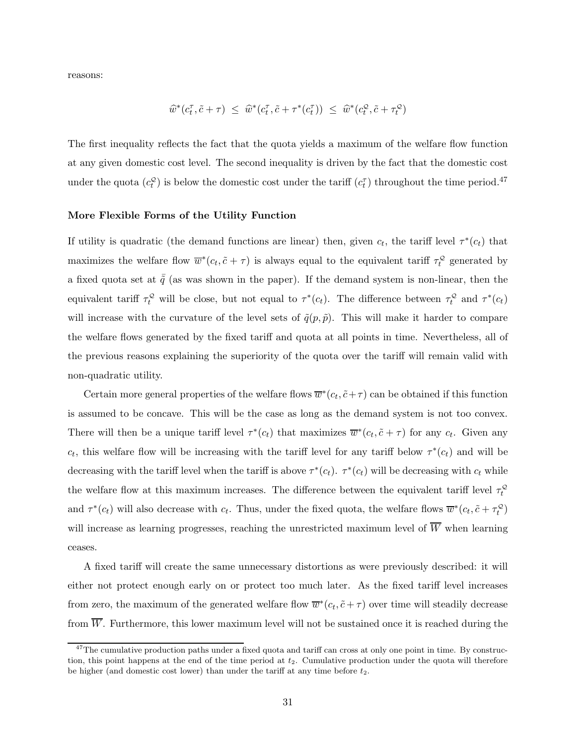reasons:

$$
\widehat{w}^*(c_t^{\tau}, \tilde{c} + \tau) \leq \widehat{w}^*(c_t^{\tau}, \tilde{c} + \tau^*(c_t^{\tau})) \leq \widehat{w}^*(c_t^{\mathcal{Q}}, \tilde{c} + \tau_t^{\mathcal{Q}})
$$

The first inequality reflects the fact that the quota yields a maximum of the welfare flow function at any given domestic cost level. The second inequality is driven by the fact that the domestic cost under the quota  $(c_t^{\mathcal{Q}})$  is below the domestic cost under the tariff  $(c_t^{\tau})$  throughout the time period.<sup>47</sup>

#### **More Flexible Forms of the Utility Function**

If utility is quadratic (the demand functions are linear) then, given  $c_t$ , the tariff level  $\tau^*(c_t)$  that maximizes the welfare flow  $\overline{w}^*(c_t, \tilde{c} + \tau)$  is always equal to the equivalent tariff  $\tau_t^{\mathcal{Q}}$  generated by a fixed quota set at  $\bar{\tilde{q}}$  (as was shown in the paper). If the demand system is non-linear, then the equivalent tariff  $\tau_t^{\mathcal{Q}}$  will be close, but not equal to  $\tau^*(c_t)$ . The difference between  $\tau_t^{\mathcal{Q}}$  and  $\tau^*(c_t)$ will increase with the curvature of the level sets of  $\tilde{q}(p, \tilde{p})$ . This will make it harder to compare the welfare flows generated by the fixed tariff and quota at all points in time. Nevertheless, all of the previous reasons explaining the superiority of the quota over the tariff will remain valid with non-quadratic utility.

Certain more general properties of the welfare flows  $\overline{w}*(c_t, \tilde{c}+\tau)$  can be obtained if this function is assumed to be concave. This will be the case as long as the demand system is not too convex. There will then be a unique tariff level  $\tau^*(c_t)$  that maximizes  $\overline{w}^*(c_t, \tilde{c} + \tau)$  for any  $c_t$ . Given any  $c_t$ , this welfare flow will be increasing with the tariff level for any tariff below  $\tau^*(c_t)$  and will be decreasing with the tariff level when the tariff is above  $\tau^*(c_t)$ .  $\tau^*(c_t)$  will be decreasing with  $c_t$  while the welfare flow at this maximum increases. The difference between the equivalent tariff level  $\tau_t^2$ and  $\tau^*(c_t)$  will also decrease with  $c_t$ . Thus, under the fixed quota, the welfare flows  $\overline{w}^*(c_t, \tilde{c} + \tau_t^2)$ will increase as learning progresses, reaching the unrestricted maximum level of  $\overline{W}$  when learning ceases.

A fixed tariff will create the same unnecessary distortions as were previously described: it will either not protect enough early on or protect too much later. As the fixed tariff level increases from zero, the maximum of the generated welfare flow  $\overline{w}^*(c_t, \tilde{c} + \tau)$  over time will steadily decrease from  $\overline{W}$ . Furthermore, this lower maximum level will not be sustained once it is reached during the

 $47$ The cumulative production paths under a fixed quota and tariff can cross at only one point in time. By construction, this point happens at the end of the time period at  $t<sub>2</sub>$ . Cumulative production under the quota will therefore be higher (and domestic cost lower) than under the tariff at any time before  $t_2$ .